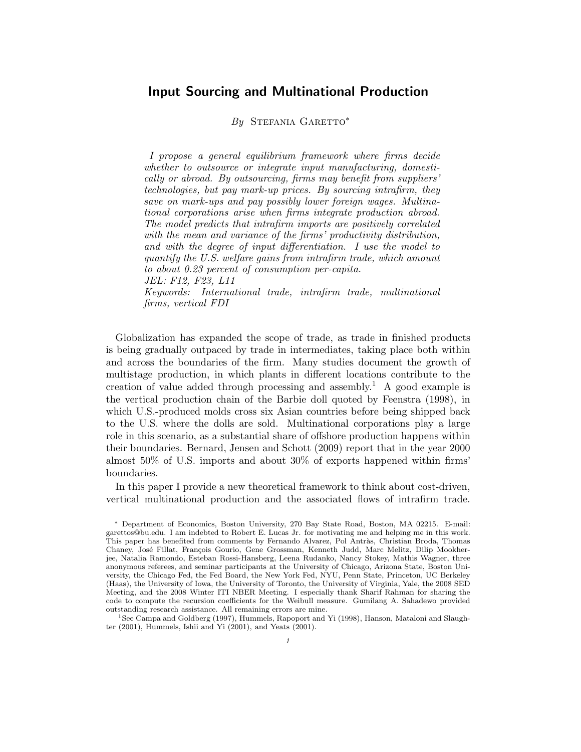# Input Sourcing and Multinational Production

By STEFANIA GARETTO\*

I propose a general equilibrium framework where firms decide whether to outsource or integrate input manufacturing, domestically or abroad. By outsourcing, firms may benefit from suppliers' technologies, but pay mark-up prices. By sourcing intrafirm, they save on mark-ups and pay possibly lower foreign wages. Multinational corporations arise when firms integrate production abroad. The model predicts that intrafirm imports are positively correlated with the mean and variance of the firms' productivity distribution, and with the degree of input differentiation. I use the model to quantify the U.S. welfare gains from intrafirm trade, which amount to about 0.23 percent of consumption per-capita. JEL: F12, F23, L11

Keywords: International trade, intrafirm trade, multinational firms, vertical FDI

Globalization has expanded the scope of trade, as trade in finished products is being gradually outpaced by trade in intermediates, taking place both within and across the boundaries of the firm. Many studies document the growth of multistage production, in which plants in different locations contribute to the creation of value added through processing and assembly.<sup>1</sup> A good example is the vertical production chain of the Barbie doll quoted by Feenstra (1998), in which U.S.-produced molds cross six Asian countries before being shipped back to the U.S. where the dolls are sold. Multinational corporations play a large role in this scenario, as a substantial share of offshore production happens within their boundaries. Bernard, Jensen and Schott (2009) report that in the year 2000 almost 50% of U.S. imports and about 30% of exports happened within firms' boundaries.

In this paper I provide a new theoretical framework to think about cost-driven, vertical multinational production and the associated flows of intrafirm trade.

<sup>1</sup>See Campa and Goldberg (1997), Hummels, Rapoport and Yi (1998), Hanson, Mataloni and Slaughter (2001), Hummels, Ishii and Yi (2001), and Yeats (2001).

<sup>∗</sup> Department of Economics, Boston University, 270 Bay State Road, Boston, MA 02215. E-mail: garettos@bu.edu. I am indebted to Robert E. Lucas Jr. for motivating me and helping me in this work. This paper has benefited from comments by Fernando Alvarez, Pol Antràs, Christian Broda, Thomas Chaney, José Fillat, François Gourio, Gene Grossman, Kenneth Judd, Marc Melitz, Dilip Mookherjee, Natalia Ramondo, Esteban Rossi-Hansberg, Leena Rudanko, Nancy Stokey, Mathis Wagner, three anonymous referees, and seminar participants at the University of Chicago, Arizona State, Boston University, the Chicago Fed, the Fed Board, the New York Fed, NYU, Penn State, Princeton, UC Berkeley (Haas), the University of Iowa, the University of Toronto, the University of Virginia, Yale, the 2008 SED Meeting, and the 2008 Winter ITI NBER Meeting. I especially thank Sharif Rahman for sharing the code to compute the recursion coefficients for the Weibull measure. Gumilang A. Sahadewo provided outstanding research assistance. All remaining errors are mine.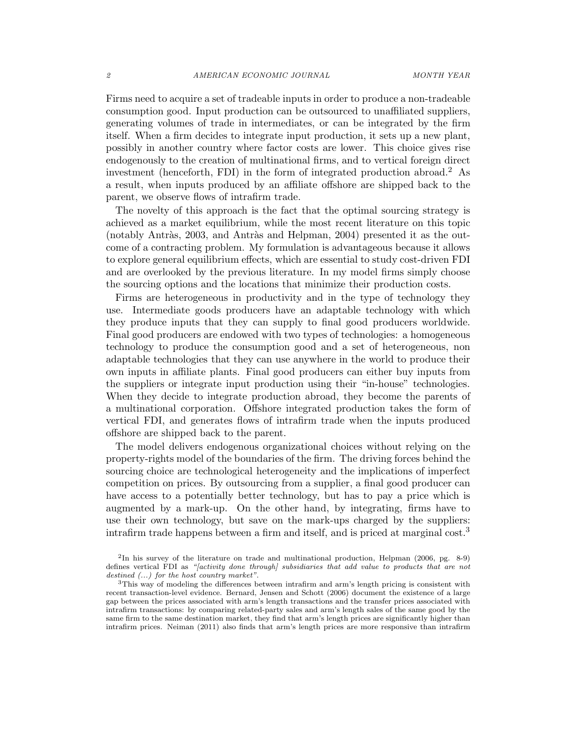Firms need to acquire a set of tradeable inputs in order to produce a non-tradeable consumption good. Input production can be outsourced to unaffiliated suppliers, generating volumes of trade in intermediates, or can be integrated by the firm itself. When a firm decides to integrate input production, it sets up a new plant, possibly in another country where factor costs are lower. This choice gives rise endogenously to the creation of multinational firms, and to vertical foreign direct investment (henceforth, FDI) in the form of integrated production abroad.<sup>2</sup> As a result, when inputs produced by an affiliate offshore are shipped back to the parent, we observe flows of intrafirm trade.

The novelty of this approach is the fact that the optimal sourcing strategy is achieved as a market equilibrium, while the most recent literature on this topic (notably Antràs, 2003, and Antràs and Helpman, 2004) presented it as the outcome of a contracting problem. My formulation is advantageous because it allows to explore general equilibrium effects, which are essential to study cost-driven FDI and are overlooked by the previous literature. In my model firms simply choose the sourcing options and the locations that minimize their production costs.

Firms are heterogeneous in productivity and in the type of technology they use. Intermediate goods producers have an adaptable technology with which they produce inputs that they can supply to final good producers worldwide. Final good producers are endowed with two types of technologies: a homogeneous technology to produce the consumption good and a set of heterogeneous, non adaptable technologies that they can use anywhere in the world to produce their own inputs in affiliate plants. Final good producers can either buy inputs from the suppliers or integrate input production using their "in-house" technologies. When they decide to integrate production abroad, they become the parents of a multinational corporation. Offshore integrated production takes the form of vertical FDI, and generates flows of intrafirm trade when the inputs produced offshore are shipped back to the parent.

The model delivers endogenous organizational choices without relying on the property-rights model of the boundaries of the firm. The driving forces behind the sourcing choice are technological heterogeneity and the implications of imperfect competition on prices. By outsourcing from a supplier, a final good producer can have access to a potentially better technology, but has to pay a price which is augmented by a mark-up. On the other hand, by integrating, firms have to use their own technology, but save on the mark-ups charged by the suppliers: intrafirm trade happens between a firm and itself, and is priced at marginal cost.<sup>3</sup>

<sup>2</sup> In his survey of the literature on trade and multinational production, Helpman (2006, pg. 8-9) defines vertical FDI as "[activity done through] subsidiaries that add value to products that are not destined (...) for the host country market".

<sup>3</sup>This way of modeling the differences between intrafirm and arm's length pricing is consistent with recent transaction-level evidence. Bernard, Jensen and Schott (2006) document the existence of a large gap between the prices associated with arm's length transactions and the transfer prices associated with intrafirm transactions: by comparing related-party sales and arm's length sales of the same good by the same firm to the same destination market, they find that arm's length prices are significantly higher than intrafirm prices. Neiman (2011) also finds that arm's length prices are more responsive than intrafirm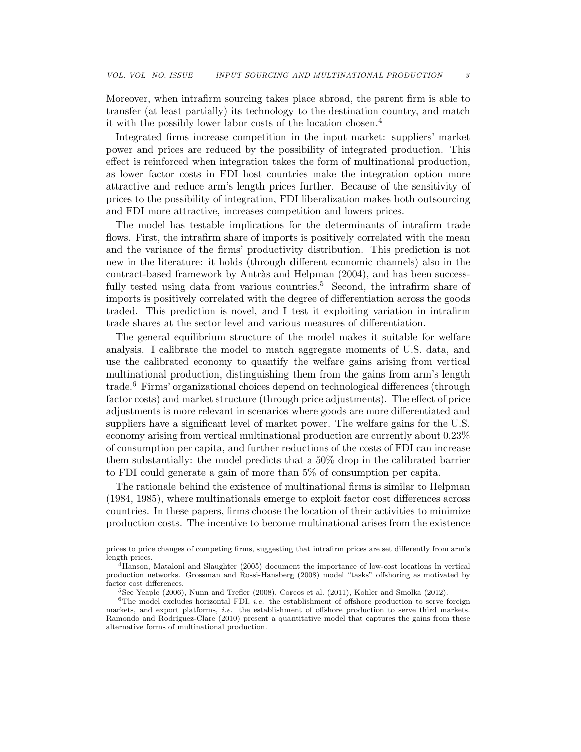Moreover, when intrafirm sourcing takes place abroad, the parent firm is able to transfer (at least partially) its technology to the destination country, and match it with the possibly lower labor costs of the location chosen. 4

Integrated firms increase competition in the input market: suppliers' market power and prices are reduced by the possibility of integrated production. This effect is reinforced when integration takes the form of multinational production, as lower factor costs in FDI host countries make the integration option more attractive and reduce arm's length prices further. Because of the sensitivity of prices to the possibility of integration, FDI liberalization makes both outsourcing and FDI more attractive, increases competition and lowers prices.

The model has testable implications for the determinants of intrafirm trade flows. First, the intrafirm share of imports is positively correlated with the mean and the variance of the firms' productivity distribution. This prediction is not new in the literature: it holds (through different economic channels) also in the contract-based framework by Antràs and Helpman (2004), and has been successfully tested using data from various countries.<sup>5</sup> Second, the intrafirm share of imports is positively correlated with the degree of differentiation across the goods traded. This prediction is novel, and I test it exploiting variation in intrafirm trade shares at the sector level and various measures of differentiation.

The general equilibrium structure of the model makes it suitable for welfare analysis. I calibrate the model to match aggregate moments of U.S. data, and use the calibrated economy to quantify the welfare gains arising from vertical multinational production, distinguishing them from the gains from arm's length trade.<sup>6</sup> Firms' organizational choices depend on technological differences (through factor costs) and market structure (through price adjustments). The effect of price adjustments is more relevant in scenarios where goods are more differentiated and suppliers have a significant level of market power. The welfare gains for the U.S. economy arising from vertical multinational production are currently about 0.23% of consumption per capita, and further reductions of the costs of FDI can increase them substantially: the model predicts that a 50% drop in the calibrated barrier to FDI could generate a gain of more than 5% of consumption per capita.

The rationale behind the existence of multinational firms is similar to Helpman (1984, 1985), where multinationals emerge to exploit factor cost differences across countries. In these papers, firms choose the location of their activities to minimize production costs. The incentive to become multinational arises from the existence

prices to price changes of competing firms, suggesting that intrafirm prices are set differently from arm's length prices.

<sup>4</sup>Hanson, Mataloni and Slaughter (2005) document the importance of low-cost locations in vertical production networks. Grossman and Rossi-Hansberg (2008) model "tasks" offshoring as motivated by factor cost differences.

 $5$ See Yeaple (2006), Nunn and Trefler (2008), Corcos et al. (2011), Kohler and Smolka (2012).

 $6$ The model excludes horizontal FDI, *i.e.* the establishment of offshore production to serve foreign markets, and export platforms, i.e. the establishment of offshore production to serve third markets. Ramondo and Rodríguez-Clare (2010) present a quantitative model that captures the gains from these alternative forms of multinational production.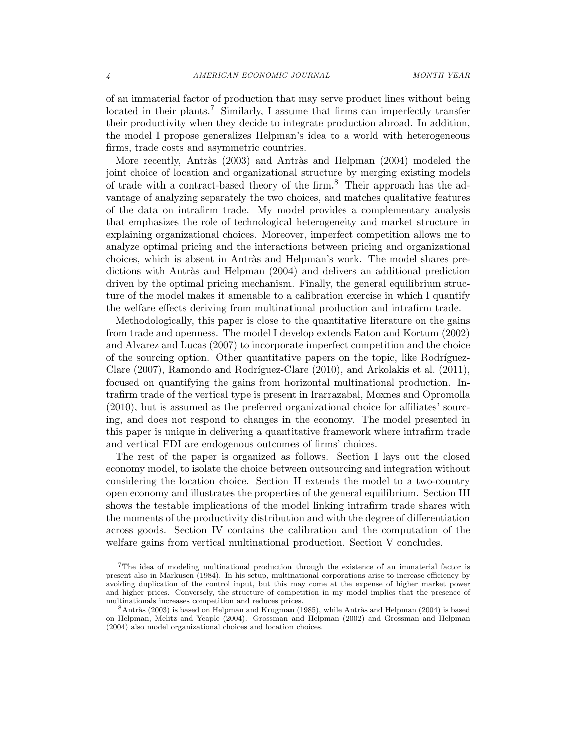of an immaterial factor of production that may serve product lines without being located in their plants.<sup>7</sup> Similarly, I assume that firms can imperfectly transfer their productivity when they decide to integrate production abroad. In addition, the model I propose generalizes Helpman's idea to a world with heterogeneous firms, trade costs and asymmetric countries.

More recently, Antràs (2003) and Antràs and Helpman (2004) modeled the joint choice of location and organizational structure by merging existing models of trade with a contract-based theory of the firm.<sup>8</sup> Their approach has the advantage of analyzing separately the two choices, and matches qualitative features of the data on intrafirm trade. My model provides a complementary analysis that emphasizes the role of technological heterogeneity and market structure in explaining organizational choices. Moreover, imperfect competition allows me to analyze optimal pricing and the interactions between pricing and organizational choices, which is absent in Antràs and Helpman's work. The model shares predictions with Antràs and Helpman (2004) and delivers an additional prediction driven by the optimal pricing mechanism. Finally, the general equilibrium structure of the model makes it amenable to a calibration exercise in which I quantify the welfare effects deriving from multinational production and intrafirm trade.

Methodologically, this paper is close to the quantitative literature on the gains from trade and openness. The model I develop extends Eaton and Kortum (2002) and Alvarez and Lucas (2007) to incorporate imperfect competition and the choice of the sourcing option. Other quantitative papers on the topic, like Rodríguez-Clare  $(2007)$ , Ramondo and Rodríguez-Clare  $(2010)$ , and Arkolakis et al.  $(2011)$ , focused on quantifying the gains from horizontal multinational production. Intrafirm trade of the vertical type is present in Irarrazabal, Moxnes and Opromolla (2010), but is assumed as the preferred organizational choice for affiliates' sourcing, and does not respond to changes in the economy. The model presented in this paper is unique in delivering a quantitative framework where intrafirm trade and vertical FDI are endogenous outcomes of firms' choices.

The rest of the paper is organized as follows. Section I lays out the closed economy model, to isolate the choice between outsourcing and integration without considering the location choice. Section II extends the model to a two-country open economy and illustrates the properties of the general equilibrium. Section III shows the testable implications of the model linking intrafirm trade shares with the moments of the productivity distribution and with the degree of differentiation across goods. Section IV contains the calibration and the computation of the welfare gains from vertical multinational production. Section V concludes.

<sup>7</sup>The idea of modeling multinational production through the existence of an immaterial factor is present also in Markusen (1984). In his setup, multinational corporations arise to increase efficiency by avoiding duplication of the control input, but this may come at the expense of higher market power and higher prices. Conversely, the structure of competition in my model implies that the presence of multinationals increases competition and reduces prices.

 $8$ Antràs (2003) is based on Helpman and Krugman (1985), while Antràs and Helpman (2004) is based on Helpman, Melitz and Yeaple (2004). Grossman and Helpman (2002) and Grossman and Helpman (2004) also model organizational choices and location choices.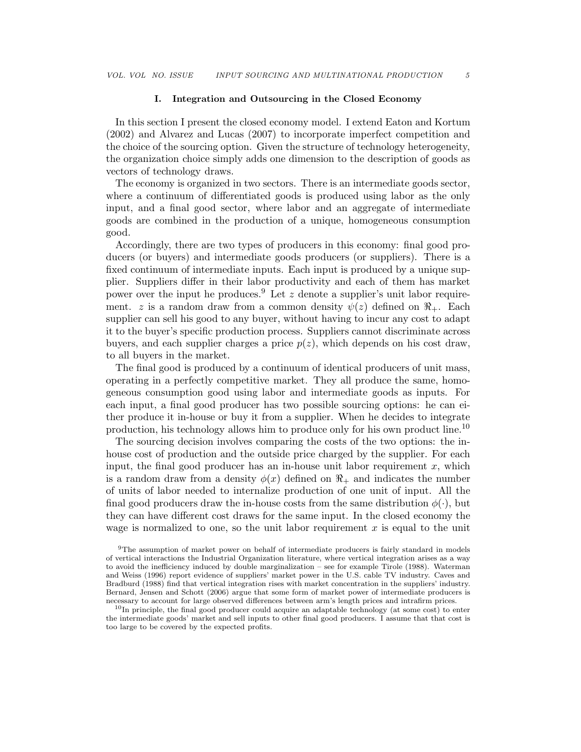## I. Integration and Outsourcing in the Closed Economy

In this section I present the closed economy model. I extend Eaton and Kortum (2002) and Alvarez and Lucas (2007) to incorporate imperfect competition and the choice of the sourcing option. Given the structure of technology heterogeneity, the organization choice simply adds one dimension to the description of goods as vectors of technology draws.

The economy is organized in two sectors. There is an intermediate goods sector, where a continuum of differentiated goods is produced using labor as the only input, and a final good sector, where labor and an aggregate of intermediate goods are combined in the production of a unique, homogeneous consumption good.

Accordingly, there are two types of producers in this economy: final good producers (or buyers) and intermediate goods producers (or suppliers). There is a fixed continuum of intermediate inputs. Each input is produced by a unique supplier. Suppliers differ in their labor productivity and each of them has market power over the input he produces.<sup>9</sup> Let  $z$  denote a supplier's unit labor requirement. z is a random draw from a common density  $\psi(z)$  defined on  $\Re_{+}$ . Each supplier can sell his good to any buyer, without having to incur any cost to adapt it to the buyer's specific production process. Suppliers cannot discriminate across buyers, and each supplier charges a price  $p(z)$ , which depends on his cost draw, to all buyers in the market.

The final good is produced by a continuum of identical producers of unit mass, operating in a perfectly competitive market. They all produce the same, homogeneous consumption good using labor and intermediate goods as inputs. For each input, a final good producer has two possible sourcing options: he can either produce it in-house or buy it from a supplier. When he decides to integrate production, his technology allows him to produce only for his own product line.<sup>10</sup>

The sourcing decision involves comparing the costs of the two options: the inhouse cost of production and the outside price charged by the supplier. For each input, the final good producer has an in-house unit labor requirement  $x$ , which is a random draw from a density  $\phi(x)$  defined on  $\Re_{+}$  and indicates the number of units of labor needed to internalize production of one unit of input. All the final good producers draw the in-house costs from the same distribution  $\phi(\cdot)$ , but they can have different cost draws for the same input. In the closed economy the wage is normalized to one, so the unit labor requirement  $x$  is equal to the unit

<sup>&</sup>lt;sup>9</sup>The assumption of market power on behalf of intermediate producers is fairly standard in models of vertical interactions the Industrial Organization literature, where vertical integration arises as a way to avoid the inefficiency induced by double marginalization – see for example Tirole (1988). Waterman and Weiss (1996) report evidence of suppliers' market power in the U.S. cable TV industry. Caves and Bradburd (1988) find that vertical integration rises with market concentration in the suppliers' industry. Bernard, Jensen and Schott (2006) argue that some form of market power of intermediate producers is necessary to account for large observed differences between arm's length prices and intrafirm prices.

<sup>10</sup>In principle, the final good producer could acquire an adaptable technology (at some cost) to enter the intermediate goods' market and sell inputs to other final good producers. I assume that that cost is too large to be covered by the expected profits.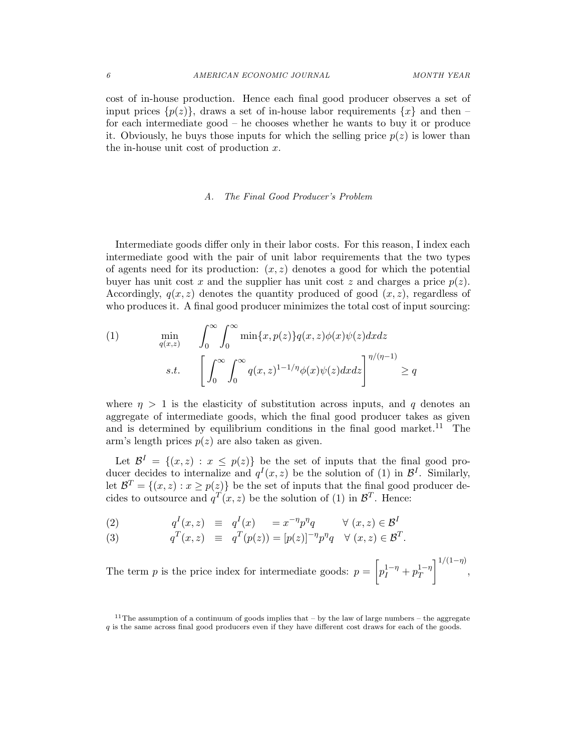cost of in-house production. Hence each final good producer observes a set of input prices  $\{p(z)\}\,$ , draws a set of in-house labor requirements  $\{x\}$  and then – for each intermediate good – he chooses whether he wants to buy it or produce it. Obviously, he buys those inputs for which the selling price  $p(z)$  is lower than the in-house unit cost of production  $x$ .

## A. The Final Good Producer's Problem

Intermediate goods differ only in their labor costs. For this reason, I index each intermediate good with the pair of unit labor requirements that the two types of agents need for its production:  $(x, z)$  denotes a good for which the potential buyer has unit cost x and the supplier has unit cost z and charges a price  $p(z)$ . Accordingly,  $q(x, z)$  denotes the quantity produced of good  $(x, z)$ , regardless of who produces it. A final good producer minimizes the total cost of input sourcing:

(1) 
$$
\min_{q(x,z)} \quad \int_0^\infty \int_0^\infty \min\{x, p(z)\} q(x,z) \phi(x) \psi(z) dxdz
$$
  
s.t. 
$$
\left[ \int_0^\infty \int_0^\infty q(x,z)^{1-1/\eta} \phi(x) \psi(z) dxdz \right]^{\eta/(\eta-1)} \ge q
$$

where  $\eta > 1$  is the elasticity of substitution across inputs, and q denotes an aggregate of intermediate goods, which the final good producer takes as given and is determined by equilibrium conditions in the final good market.<sup>11</sup> The arm's length prices  $p(z)$  are also taken as given.

Let  $\mathcal{B}^I = \{(x, z) : x \leq p(z)\}\$ be the set of inputs that the final good producer decides to internalize and  $q^{I}(x, z)$  be the solution of (1) in  $\mathcal{B}^{I}$ . Similarly, let  $\mathcal{B}^T = \{(x, z) : x \geq p(z)\}\$ be the set of inputs that the final good producer decides to outsource and  $q^T(x, z)$  be the solution of (1) in  $\mathcal{B}^T$ . Hence:

(2) 
$$
q^{I}(x, z) \equiv q^{I}(x) = x^{-\eta} p^{\eta} q \qquad \forall (x, z) \in \mathcal{B}^{I}
$$

(3) 
$$
q^T(x,z) \equiv q^T(p(z)) = [p(z)]^{-\eta} p^{\eta} q \quad \forall (x,z) \in \mathcal{B}^T.
$$

The term p is the price index for intermediate goods:  $p = \left[p_I^{1-\eta} + p_T^{1-\eta}\right]$ T  $\big]^{1/(1-\eta)},$ 

<sup>&</sup>lt;sup>11</sup>The assumption of a continuum of goods implies that  $-$  by the law of large numbers  $-$  the aggregate q is the same across final good producers even if they have different cost draws for each of the goods.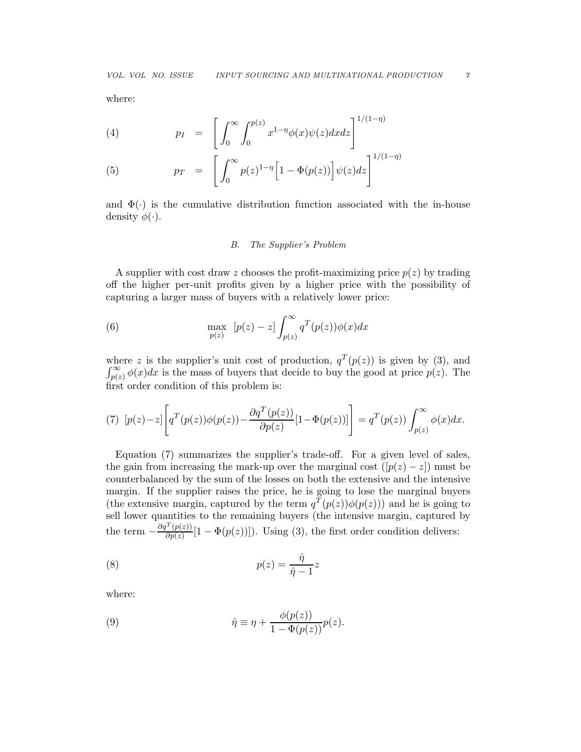where:

(4) 
$$
p_I = \left[ \int_0^\infty \int_0^{p(z)} x^{1-\eta} \phi(x) \psi(z) dx dz \right]^{1/(1-\eta)}
$$

(5) 
$$
p_T = \left[ \int_0^\infty p(z)^{1-\eta} \left[ 1 - \Phi(p(z)) \right] \psi(z) dz \right]^{1/(1-\eta)}
$$

and  $\Phi(\cdot)$  is the cumulative distribution function associated with the in-house density  $\phi(\cdot)$ .

## B. The Supplier's Problem

A supplier with cost draw z chooses the profit-maximizing price  $p(z)$  by trading off the higher per-unit profits given by a higher price with the possibility of capturing a larger mass of buyers with a relatively lower price:

(6) 
$$
\max_{p(z)} [p(z) - z] \int_{p(z)}^{\infty} q^{T}(p(z)) \phi(x) dx
$$

where z is the supplier's unit cost of production,  $q^T(p(z))$  is given by (3), and  $\int_{p(z)}^{\infty} \phi(x) dx$  is the mass of buyers that decide to buy the good at price  $p(z)$ . The first order condition of this problem is:

$$
(7) \ [p(z)-z] \left[ q^T(p(z))\phi(p(z)) - \frac{\partial q^T(p(z))}{\partial p(z)}[1-\Phi(p(z))] \right] = q^T(p(z)) \int_{p(z)}^{\infty} \phi(x) dx.
$$

Equation (7) summarizes the supplier's trade-off. For a given level of sales, the gain from increasing the mark-up over the marginal cost  $([p(z) - z])$  must be counterbalanced by the sum of the losses on both the extensive and the intensive margin. If the supplier raises the price, he is going to lose the marginal buyers (the extensive margin, captured by the term  $q^T(p(z))\phi(p(z))$ ) and he is going to sell lower quantities to the remaining buyers (the intensive margin, captured by the term  $-\frac{\partial q^T(p(z))}{\partial p(z)}$  $\frac{\langle \phi(z) \rangle}{\partial p(z)}[1 - \Phi(p(z))]$ . Using (3), the first order condition delivers:

(8) 
$$
p(z) = \frac{\hat{\eta}}{\hat{\eta} - 1} z
$$

where:

(9) 
$$
\hat{\eta} \equiv \eta + \frac{\phi(p(z))}{1 - \Phi(p(z))} p(z).
$$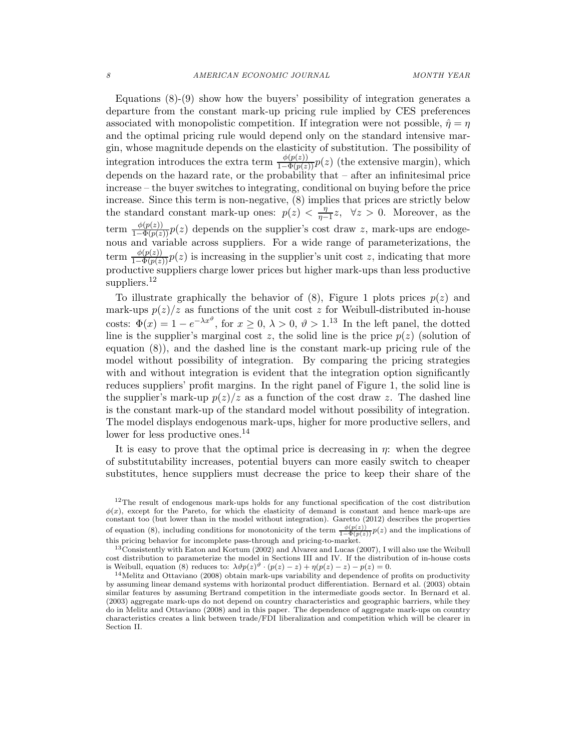Equations  $(8)-(9)$  show how the buyers' possibility of integration generates a departure from the constant mark-up pricing rule implied by CES preferences associated with monopolistic competition. If integration were not possible,  $\hat{\eta} = \eta$ and the optimal pricing rule would depend only on the standard intensive margin, whose magnitude depends on the elasticity of substitution. The possibility of integration introduces the extra term  $\frac{\phi(p(z))}{1-\Phi(p(z))}p(z)$  (the extensive margin), which depends on the hazard rate, or the probability that – after an infinitesimal price increase – the buyer switches to integrating, conditional on buying before the price increase. Since this term is non-negative, (8) implies that prices are strictly below the standard constant mark-up ones:  $p(z) < \frac{\eta}{n}$  $\frac{\eta}{\eta-1}z$ ,  $\forall z > 0$ . Moreover, as the term  $\frac{\phi(p(z))}{1-\Phi(p(z))}p(z)$  depends on the supplier's cost draw z, mark-ups are endogenous and variable across suppliers. For a wide range of parameterizations, the term  $\frac{\phi(p(z))}{1-\Phi(p(z))}p(z)$  is increasing in the supplier's unit cost z, indicating that more productive suppliers charge lower prices but higher mark-ups than less productive suppliers.<sup>12</sup>

To illustrate graphically the behavior of  $(8)$ , Figure 1 plots prices  $p(z)$  and mark-ups  $p(z)/z$  as functions of the unit cost z for Weibull-distributed in-house costs:  $\Phi(x) = 1 - e^{-\lambda x^{\vartheta}}$ , for  $x \ge 0$ ,  $\lambda > 0$ ,  $\vartheta > 1$ .<sup>13</sup> In the left panel, the dotted line is the supplier's marginal cost z, the solid line is the price  $p(z)$  (solution of equation (8)), and the dashed line is the constant mark-up pricing rule of the model without possibility of integration. By comparing the pricing strategies with and without integration is evident that the integration option significantly reduces suppliers' profit margins. In the right panel of Figure 1, the solid line is the supplier's mark-up  $p(z)/z$  as a function of the cost draw z. The dashed line is the constant mark-up of the standard model without possibility of integration. The model displays endogenous mark-ups, higher for more productive sellers, and lower for less productive ones.<sup>14</sup>

It is easy to prove that the optimal price is decreasing in  $\eta$ : when the degree of substitutability increases, potential buyers can more easily switch to cheaper substitutes, hence suppliers must decrease the price to keep their share of the

 $12$ The result of endogenous mark-ups holds for any functional specification of the cost distribution  $\phi(x)$ , except for the Pareto, for which the elasticity of demand is constant and hence mark-ups are constant too (but lower than in the model without integration). Garetto (2012) describes the properties of equation (8), including conditions for monotonicity of the term  $\frac{\phi(p(z))}{1-\Phi(p(z))}p(z)$  and the implications of this pricing behavior for incomplete pass-through and pricing-to-market.

<sup>13</sup>Consistently with Eaton and Kortum (2002) and Alvarez and Lucas (2007), I will also use the Weibull cost distribution to parameterize the model in Sections III and IV. If the distribution of in-house costs is Weibull, equation (8) reduces to:  $\lambda \vartheta p(z) = \vartheta \cdot (p(z) - z) + \eta (p(z) - z) - p(z) = 0.$ 

<sup>14</sup>Melitz and Ottaviano (2008) obtain mark-ups variability and dependence of profits on productivity by assuming linear demand systems with horizontal product differentiation. Bernard et al. (2003) obtain similar features by assuming Bertrand competition in the intermediate goods sector. In Bernard et al. (2003) aggregate mark-ups do not depend on country characteristics and geographic barriers, while they do in Melitz and Ottaviano (2008) and in this paper. The dependence of aggregate mark-ups on country characteristics creates a link between trade/FDI liberalization and competition which will be clearer in Section II.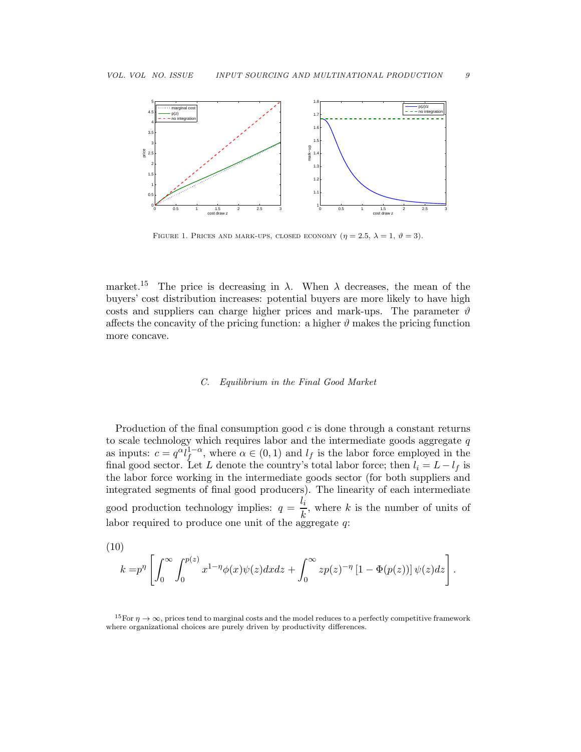

FIGURE 1. PRICES AND MARK-UPS, CLOSED ECONOMY  $(\eta = 2.5, \lambda = 1, \vartheta = 3)$ .

market.<sup>15</sup> The price is decreasing in  $\lambda$ . When  $\lambda$  decreases, the mean of the buyers' cost distribution increases: potential buyers are more likely to have high costs and suppliers can charge higher prices and mark-ups. The parameter  $\vartheta$ affects the concavity of the pricing function: a higher  $\vartheta$  makes the pricing function more concave.

## C. Equilibrium in the Final Good Market

Production of the final consumption good  $c$  is done through a constant returns to scale technology which requires labor and the intermediate goods aggregate  $\boldsymbol{q}$ as inputs:  $c = q^{\alpha} \overline{l}_{f}^{1-\alpha}$  $f_f^{1-\alpha}$ , where  $\alpha \in (0,1)$  and  $l_f$  is the labor force employed in the final good sector. Let L denote the country's total labor force; then  $l_i = L - l_f$  is the labor force working in the intermediate goods sector (for both suppliers and integrated segments of final good producers). The linearity of each intermediate good production technology implies:  $q = \frac{l_i}{l_i}$  $\frac{k}{k}$ , where k is the number of units of labor required to produce one unit of the aggregate  $q$ :

(10)  
\n
$$
k = p^{\eta} \left[ \int_0^{\infty} \int_0^{p(z)} x^{1-\eta} \phi(x) \psi(z) dx dz + \int_0^{\infty} z p(z)^{-\eta} \left[ 1 - \Phi(p(z)) \right] \psi(z) dz \right]
$$

.

<sup>15</sup>For  $\eta \to \infty$ , prices tend to marginal costs and the model reduces to a perfectly competitive framework where organizational choices are purely driven by productivity differences.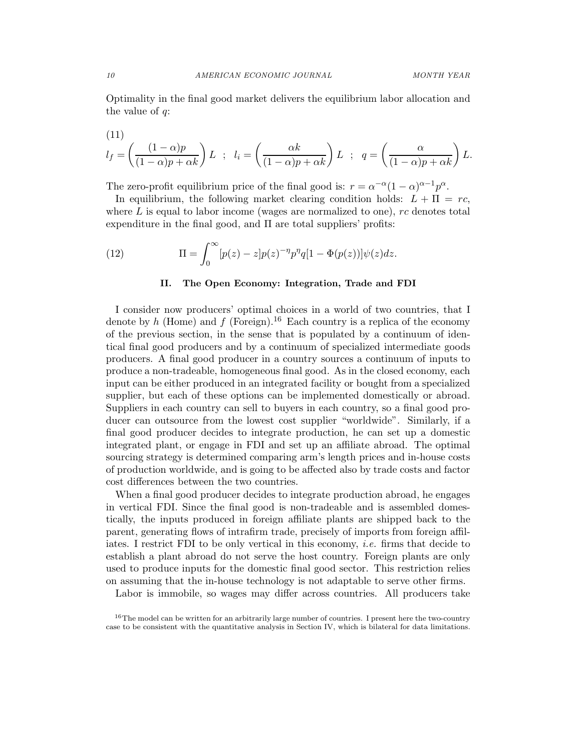Optimality in the final good market delivers the equilibrium labor allocation and the value of  $q$ :

(11)  
\n
$$
l_f = \left(\frac{(1-\alpha)p}{(1-\alpha)p + \alpha k}\right)L \; ; \; l_i = \left(\frac{\alpha k}{(1-\alpha)p + \alpha k}\right)L \; ; \; q = \left(\frac{\alpha}{(1-\alpha)p + \alpha k}\right)L.
$$

The zero-profit equilibrium price of the final good is:  $r = \alpha^{-\alpha} (1 - \alpha)^{\alpha - 1} p^{\alpha}$ .

In equilibrium, the following market clearing condition holds:  $L + \Pi = rc$ , where  $L$  is equal to labor income (wages are normalized to one),  $rc$  denotes total expenditure in the final good, and  $\Pi$  are total suppliers' profits:

(12) 
$$
\Pi = \int_0^\infty [p(z) - z] p(z)^{-\eta} p^{\eta} q [1 - \Phi(p(z))] \psi(z) dz.
$$

## II. The Open Economy: Integration, Trade and FDI

I consider now producers' optimal choices in a world of two countries, that I denote by h (Home) and f (Foreign).<sup>16</sup> Each country is a replica of the economy of the previous section, in the sense that is populated by a continuum of identical final good producers and by a continuum of specialized intermediate goods producers. A final good producer in a country sources a continuum of inputs to produce a non-tradeable, homogeneous final good. As in the closed economy, each input can be either produced in an integrated facility or bought from a specialized supplier, but each of these options can be implemented domestically or abroad. Suppliers in each country can sell to buyers in each country, so a final good producer can outsource from the lowest cost supplier "worldwide". Similarly, if a final good producer decides to integrate production, he can set up a domestic integrated plant, or engage in FDI and set up an affiliate abroad. The optimal sourcing strategy is determined comparing arm's length prices and in-house costs of production worldwide, and is going to be affected also by trade costs and factor cost differences between the two countries.

When a final good producer decides to integrate production abroad, he engages in vertical FDI. Since the final good is non-tradeable and is assembled domestically, the inputs produced in foreign affiliate plants are shipped back to the parent, generating flows of intrafirm trade, precisely of imports from foreign affiliates. I restrict FDI to be only vertical in this economy, i.e. firms that decide to establish a plant abroad do not serve the host country. Foreign plants are only used to produce inputs for the domestic final good sector. This restriction relies on assuming that the in-house technology is not adaptable to serve other firms.

Labor is immobile, so wages may differ across countries. All producers take

<sup>&</sup>lt;sup>16</sup>The model can be written for an arbitrarily large number of countries. I present here the two-country case to be consistent with the quantitative analysis in Section IV, which is bilateral for data limitations.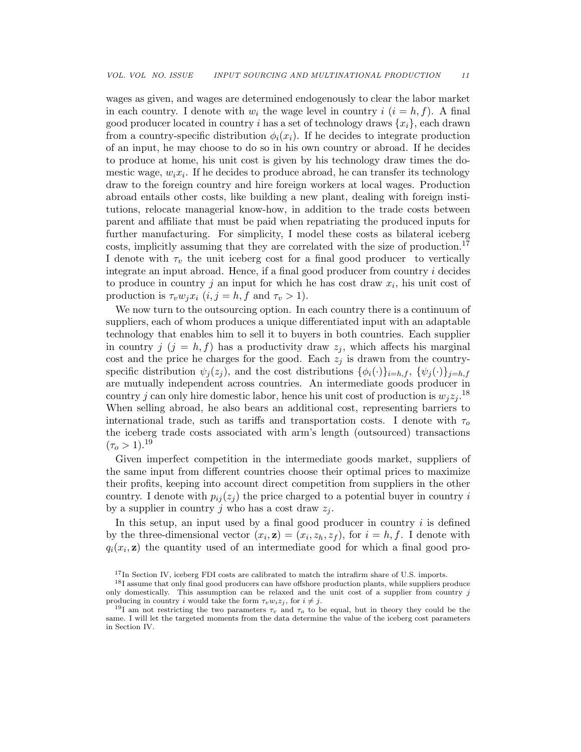wages as given, and wages are determined endogenously to clear the labor market in each country. I denote with  $w_i$  the wage level in country  $i$   $(i = h, f)$ . A final good producer located in country i has a set of technology draws  ${x_i}$ , each drawn from a country-specific distribution  $\phi_i(x_i)$ . If he decides to integrate production of an input, he may choose to do so in his own country or abroad. If he decides to produce at home, his unit cost is given by his technology draw times the domestic wage,  $w_i x_i$ . If he decides to produce abroad, he can transfer its technology draw to the foreign country and hire foreign workers at local wages. Production abroad entails other costs, like building a new plant, dealing with foreign institutions, relocate managerial know-how, in addition to the trade costs between parent and affiliate that must be paid when repatriating the produced inputs for further manufacturing. For simplicity, I model these costs as bilateral iceberg costs, implicitly assuming that they are correlated with the size of production.<sup>17</sup> I denote with  $\tau_v$  the unit iceberg cost for a final good producer to vertically integrate an input abroad. Hence, if a final good producer from country  $i$  decides to produce in country  $j$  an input for which he has cost draw  $x_i$ , his unit cost of production is  $\tau_v w_j x_i$   $(i, j = h, f \text{ and } \tau_v > 1)$ .

We now turn to the outsourcing option. In each country there is a continuum of suppliers, each of whom produces a unique differentiated input with an adaptable technology that enables him to sell it to buyers in both countries. Each supplier in country j  $(j = h, f)$  has a productivity draw  $z_j$ , which affects his marginal cost and the price he charges for the good. Each  $z_j$  is drawn from the countryspecific distribution  $\psi_j(z_j)$ , and the cost distributions  $\{\phi_i(\cdot)\}_{i=h,f}$ ,  $\{\psi_i(\cdot)\}_{i=h,f}$ are mutually independent across countries. An intermediate goods producer in country j can only hire domestic labor, hence his unit cost of production is  $w_j z_j$ .<sup>18</sup> When selling abroad, he also bears an additional cost, representing barriers to international trade, such as tariffs and transportation costs. I denote with  $\tau_o$ the iceberg trade costs associated with arm's length (outsourced) transactions  $(\tau_o > 1).^{19}$ 

Given imperfect competition in the intermediate goods market, suppliers of the same input from different countries choose their optimal prices to maximize their profits, keeping into account direct competition from suppliers in the other country. I denote with  $p_{ij}(z_j)$  the price charged to a potential buyer in country i by a supplier in country j who has a cost draw  $z_i$ .

In this setup, an input used by a final good producer in country  $i$  is defined by the three-dimensional vector  $(x_i, \mathbf{z}) = (x_i, z_h, z_f)$ , for  $i = h, f$ . I denote with  $q_i(x_i, \mathbf{z})$  the quantity used of an intermediate good for which a final good pro-

 $^{17}{\rm In}$  Section IV, iceberg FDI costs are calibrated to match the intrafirm share of U.S. imports.

<sup>&</sup>lt;sup>18</sup>I assume that only final good producers can have offshore production plants, while suppliers produce only domestically. This assumption can be relaxed and the unit cost of a supplier from country j producing in country i would take the form  $\tau_v w_i z_j$ , for  $i \neq j$ .

<sup>&</sup>lt;sup>19</sup>I am not restricting the two parameters  $\tau_v$  and  $\tau_o$  to be equal, but in theory they could be the same. I will let the targeted moments from the data determine the value of the iceberg cost parameters in Section IV.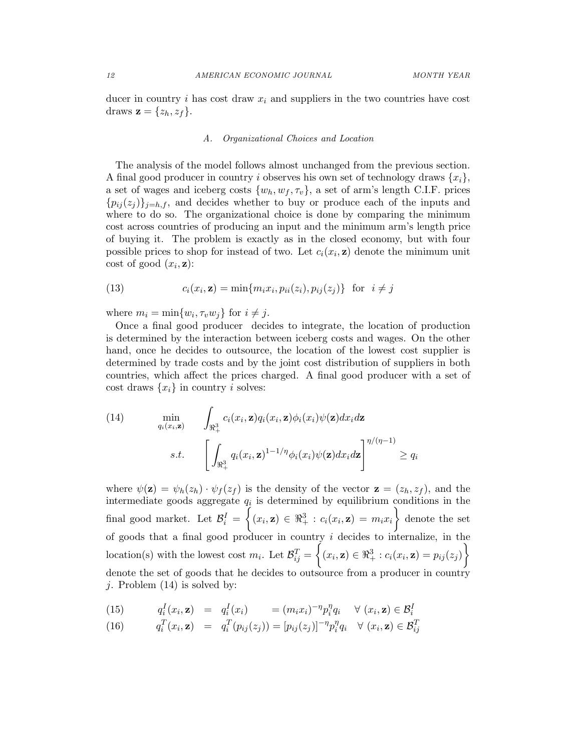ducer in country i has cost draw  $x_i$  and suppliers in the two countries have cost draws  $\mathbf{z} = \{z_h, z_f\}.$ 

#### A. Organizational Choices and Location

The analysis of the model follows almost unchanged from the previous section. A final good producer in country i observes his own set of technology draws  $\{x_i\}$ , a set of wages and iceberg costs  $\{w_h, w_f, \tau_v\}$ , a set of arm's length C.I.F. prices  ${p_{ij}(z_j)}_{j=h,f}$ , and decides whether to buy or produce each of the inputs and where to do so. The organizational choice is done by comparing the minimum cost across countries of producing an input and the minimum arm's length price of buying it. The problem is exactly as in the closed economy, but with four possible prices to shop for instead of two. Let  $c_i(x_i, \mathbf{z})$  denote the minimum unit cost of good  $(x_i, \mathbf{z})$ :

(13) 
$$
c_i(x_i, \mathbf{z}) = \min\{m_i x_i, p_{ii}(z_i), p_{ij}(z_j)\} \text{ for } i \neq j
$$

where  $m_i = \min\{w_i, \tau_v w_j\}$  for  $i \neq j$ .

Once a final good producer decides to integrate, the location of production is determined by the interaction between iceberg costs and wages. On the other hand, once he decides to outsource, the location of the lowest cost supplier is determined by trade costs and by the joint cost distribution of suppliers in both countries, which affect the prices charged. A final good producer with a set of cost draws  $\{x_i\}$  in country i solves:

(14) 
$$
\min_{q_i(x_i, \mathbf{z})} \quad \int_{\mathbb{R}^3_+} c_i(x_i, \mathbf{z}) q_i(x_i, \mathbf{z}) \phi_i(x_i) \psi(\mathbf{z}) dx_i d\mathbf{z}
$$
  
s.t. 
$$
\left[ \int_{\mathbb{R}^3_+} q_i(x_i, \mathbf{z})^{1-1/\eta} \phi_i(x_i) \psi(\mathbf{z}) dx_i d\mathbf{z} \right]^{\eta/(\eta-1)} \geq q_i
$$

where  $\psi(\mathbf{z}) = \psi_h(z_h) \cdot \psi_f(z_f)$  is the density of the vector  $\mathbf{z} = (z_h, z_f)$ , and the intermediate goods aggregate  $q_i$  is determined by equilibrium conditions in the final good market. Let  $\mathcal{B}_i^I = \{(x_i, \mathbf{z}) \in \Re_+^3 : c_i(x_i, \mathbf{z}) = m_i x_i\}$  denote the set of goods that a final good producer in country i decides to internalize, in the location(s) with the lowest cost  $m_i$ . Let  $\mathcal{B}_{ij}^T = \left\{ (x_i, \mathbf{z}) \in \Re^3_+ : c_i(x_i, \mathbf{z}) = p_{ij}(z_j) \right\}$ denote the set of goods that he decides to outsource from a producer in country j. Problem  $(14)$  is solved by:

(15) 
$$
q_i^I(x_i, \mathbf{z}) = q_i^I(x_i) = (m_i x_i)^{-\eta} p_i^{\eta} q_i \quad \forall (x_i, \mathbf{z}) \in \mathcal{B}_i^I
$$

(16) 
$$
q_i^T(x_i, \mathbf{z}) = q_i^T(p_{ij}(z_j)) = [p_{ij}(z_j)]^{-\eta} p_i^{\eta} q_i \quad \forall (x_i, \mathbf{z}) \in \mathcal{B}_{ij}^T
$$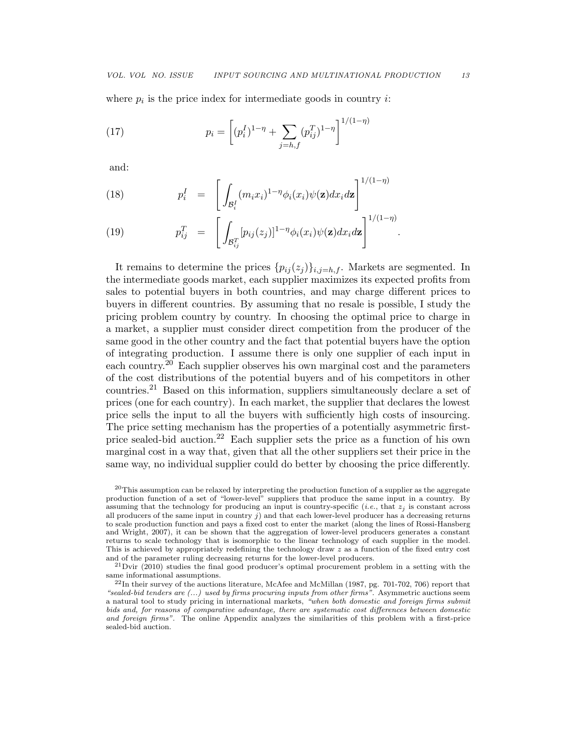where  $p_i$  is the price index for intermediate goods in country  $i$ :

(17) 
$$
p_i = \left[ (p_i^I)^{1-\eta} + \sum_{j=h,f} (p_{ij}^T)^{1-\eta} \right]^{1/(1-\eta)}
$$

and:

(18) 
$$
p_i^I = \left[ \int_{\mathcal{B}_i^I} (m_i x_i)^{1-\eta} \phi_i(x_i) \psi(\mathbf{z}) dx_i d\mathbf{z} \right]^{1/(1-\eta)}
$$

(19) 
$$
p_{ij}^T = \left[ \int_{\mathcal{B}_{ij}^T} [p_{ij}(z_j)]^{1-\eta} \phi_i(x_i) \psi(\mathbf{z}) dx_i d\mathbf{z} \right]^{1/(1-\eta)}.
$$

It remains to determine the prices  $\{p_{ij}(z_j)\}_{i,j=h,f}$ . Markets are segmented. In the intermediate goods market, each supplier maximizes its expected profits from sales to potential buyers in both countries, and may charge different prices to buyers in different countries. By assuming that no resale is possible, I study the pricing problem country by country. In choosing the optimal price to charge in a market, a supplier must consider direct competition from the producer of the same good in the other country and the fact that potential buyers have the option of integrating production. I assume there is only one supplier of each input in each country.<sup>20</sup> Each supplier observes his own marginal cost and the parameters of the cost distributions of the potential buyers and of his competitors in other countries.<sup>21</sup> Based on this information, suppliers simultaneously declare a set of prices (one for each country). In each market, the supplier that declares the lowest price sells the input to all the buyers with sufficiently high costs of insourcing. The price setting mechanism has the properties of a potentially asymmetric firstprice sealed-bid auction.<sup>22</sup> Each supplier sets the price as a function of his own marginal cost in a way that, given that all the other suppliers set their price in the same way, no individual supplier could do better by choosing the price differently.

 $^{20}$ This assumption can be relaxed by interpreting the production function of a supplier as the aggregate production function of a set of "lower-level" suppliers that produce the same input in a country. By assuming that the technology for producing an input is country-specific (*i.e.*, that  $z_j$  is constant across all producers of the same input in country  $j$ ) and that each lower-level producer has a decreasing returns to scale production function and pays a fixed cost to enter the market (along the lines of Rossi-Hansberg and Wright, 2007), it can be shown that the aggregation of lower-level producers generates a constant returns to scale technology that is isomorphic to the linear technology of each supplier in the model. This is achieved by appropriately redefining the technology draw  $z$  as a function of the fixed entry cost and of the parameter ruling decreasing returns for the lower-level producers.

 $^{21}$ Dvir (2010) studies the final good producer's optimal procurement problem in a setting with the same informational assumptions.

 $^{22}$ In their survey of the auctions literature, McAfee and McMillan (1987, pg. 701-702, 706) report that "sealed-bid tenders are  $(...)$  used by firms procuring inputs from other firms". Asymmetric auctions seem a natural tool to study pricing in international markets, "when both domestic and foreign firms submit bids and, for reasons of comparative advantage, there are systematic cost differences between domestic and foreign firms". The online Appendix analyzes the similarities of this problem with a first-price sealed-bid auction.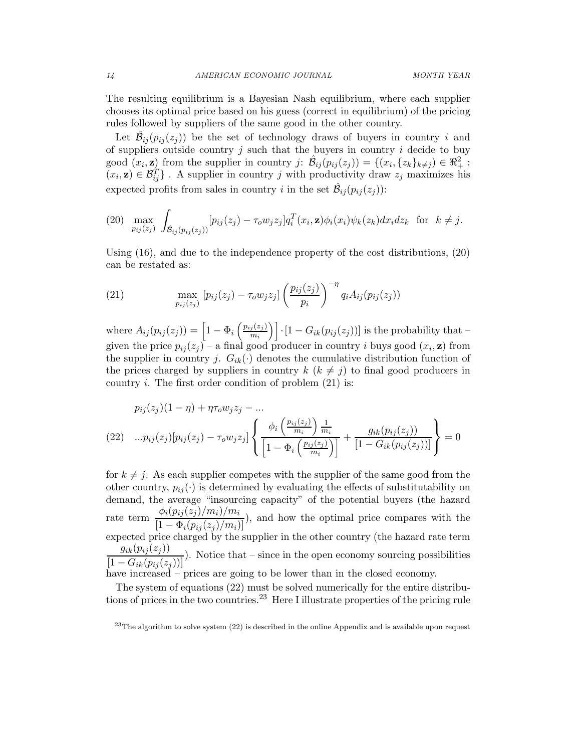The resulting equilibrium is a Bayesian Nash equilibrium, where each supplier chooses its optimal price based on his guess (correct in equilibrium) of the pricing rules followed by suppliers of the same good in the other country.

Let  $\hat{\mathcal{B}}_{ij}(p_{ij}(z_j))$  be the set of technology draws of buyers in country i and of suppliers outside country  $j$  such that the buyers in country  $i$  decide to buy good  $(x_i, \mathbf{z})$  from the supplier in country  $j: \hat{\mathcal{B}}_{ij}(p_{ij}(z_j)) = \{(x_i, \{z_k\}_{k\neq j}) \in \Re^2_+ :$  $(x_i, \mathbf{z}) \in \mathcal{B}_{ij}^T$ . A supplier in country j with productivity draw  $z_j$  maximizes his expected profits from sales in country i in the set  $\hat{\mathcal{B}}_{ij}(p_{ij}(z_j))$ :

$$
(20) \max_{p_{ij}(z_j)} \int_{\hat{\mathcal{B}}_{ij}(p_{ij}(z_j))} [p_{ij}(z_j) - \tau_o w_j z_j] q_i^T(x_i, \mathbf{z}) \phi_i(x_i) \psi_k(z_k) dx_i dz_k \text{ for } k \neq j.
$$

Using (16), and due to the independence property of the cost distributions, (20) can be restated as:

(21) 
$$
\max_{p_{ij}(z_j)} [p_{ij}(z_j) - \tau_o w_j z_j] \left( \frac{p_{ij}(z_j)}{p_i} \right)^{-\eta} q_i A_{ij}(p_{ij}(z_j))
$$

where  $A_{ij}(p_{ij}(z_j)) = \left[1 - \Phi_i\left(\frac{p_{ij}(z_j)}{m_i}\right)\right]$  $\left\{ \frac{j(z_j)}{m_i} \right\} \cdot \left[1-G_{ik}(p_{ij}(z_j)) \right]$  is the probability that – given the price  $p_{ij}(z_j)$  – a final good producer in country i buys good  $(x_i, \mathbf{z})$  from the supplier in country j.  $G_{ik}(\cdot)$  denotes the cumulative distribution function of the prices charged by suppliers in country  $k \ (k \neq j)$  to final good producers in country *i*. The first order condition of problem  $(21)$  is:

$$
p_{ij}(z_j)(1-\eta) + \eta \tau_o w_j z_j - \dots
$$
  
(22) 
$$
\dots p_{ij}(z_j)[p_{ij}(z_j) - \tau_o w_j z_j] \left\{ \frac{\phi_i\left(\frac{p_{ij}(z_j)}{m_i}\right) \frac{1}{m_i}}{\left[1 - \Phi_i\left(\frac{p_{ij}(z_j)}{m_i}\right)\right]} + \frac{g_{ik}(p_{ij}(z_j))}{\left[1 - G_{ik}(p_{ij}(z_j))\right]} \right\} = 0
$$

for  $k \neq j$ . As each supplier competes with the supplier of the same good from the other country,  $p_{ij}(\cdot)$  is determined by evaluating the effects of substitutability on demand, the average "insourcing capacity" of the potential buyers (the hazard rate term  $\frac{\phi_i(p_{ij}(z_j)/m_i)/m_i}{[1-\Phi_i(p_{ij}(z_j)/m_i)]}$ , and how the optimal price compares with the expected price charged by the supplier in the other country (the hazard rate term  $\frac{g_{ik}(p_{ij}(z_j))}{[1-G_{ik}(p_{ij}(z_j))]}.$  Notice that – since in the open economy sourcing possibilities have increased – prices are going to be lower than in the closed economy.

The system of equations (22) must be solved numerically for the entire distributions of prices in the two countries.<sup>23</sup> Here I illustrate properties of the pricing rule

 $23$ The algorithm to solve system  $(22)$  is described in the online Appendix and is available upon request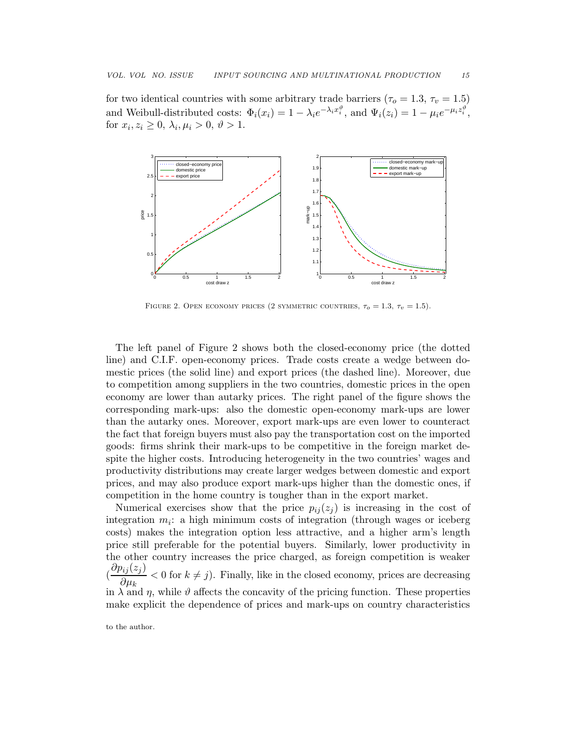for two identical countries with some arbitrary trade barriers ( $\tau_o = 1.3$ ,  $\tau_v = 1.5$ ) and Weibull-distributed costs:  $\Phi_i(x_i) = 1 - \lambda_i e^{-\lambda_i x_i^{\vartheta}}$ , and  $\Psi_i(z_i) = 1 - \mu_i e^{-\mu_i z_i^{\vartheta}}$ , for  $x_i, z_i \geq 0$ ,  $\lambda_i, \mu_i > 0$ ,  $\vartheta > 1$ .



FIGURE 2. OPEN ECONOMY PRICES (2 SYMMETRIC COUNTRIES,  $\tau_{0} = 1.3$ ,  $\tau_{v} = 1.5$ ).

The left panel of Figure 2 shows both the closed-economy price (the dotted line) and C.I.F. open-economy prices. Trade costs create a wedge between domestic prices (the solid line) and export prices (the dashed line). Moreover, due to competition among suppliers in the two countries, domestic prices in the open economy are lower than autarky prices. The right panel of the figure shows the corresponding mark-ups: also the domestic open-economy mark-ups are lower than the autarky ones. Moreover, export mark-ups are even lower to counteract the fact that foreign buyers must also pay the transportation cost on the imported goods: firms shrink their mark-ups to be competitive in the foreign market despite the higher costs. Introducing heterogeneity in the two countries' wages and productivity distributions may create larger wedges between domestic and export prices, and may also produce export mark-ups higher than the domestic ones, if competition in the home country is tougher than in the export market.

Numerical exercises show that the price  $p_{ij}(z_i)$  is increasing in the cost of integration  $m_i$ : a high minimum costs of integration (through wages or iceberg costs) makes the integration option less attractive, and a higher arm's length price still preferable for the potential buyers. Similarly, lower productivity in the other country increases the price charged, as foreign competition is weaker  $\left(\frac{\partial p_{ij}(z_j)}{\partial}\right)$  $\frac{\partial u(x)}{\partial \mu_k}$  < 0 for  $k \neq j$ ). Finally, like in the closed economy, prices are decreasing in  $\lambda$  and  $\eta$ , while  $\vartheta$  affects the concavity of the pricing function. These properties make explicit the dependence of prices and mark-ups on country characteristics

to the author.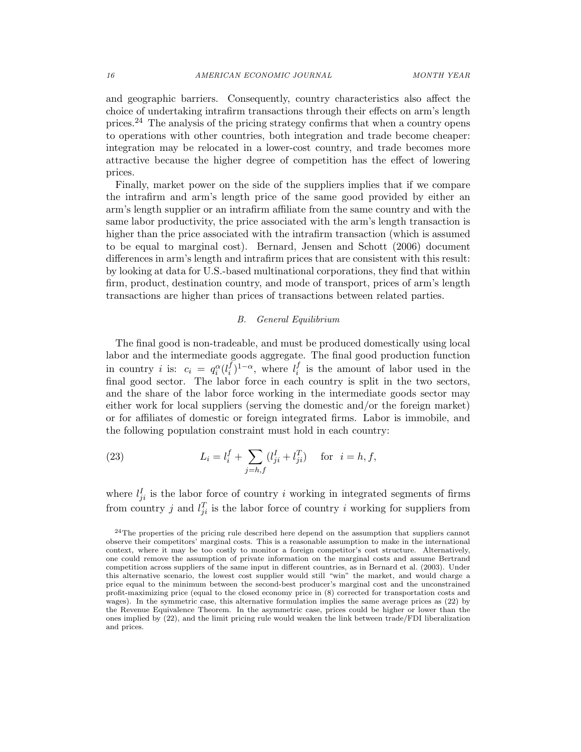and geographic barriers. Consequently, country characteristics also affect the choice of undertaking intrafirm transactions through their effects on arm's length prices.<sup>24</sup> The analysis of the pricing strategy confirms that when a country opens to operations with other countries, both integration and trade become cheaper: integration may be relocated in a lower-cost country, and trade becomes more attractive because the higher degree of competition has the effect of lowering prices.

Finally, market power on the side of the suppliers implies that if we compare the intrafirm and arm's length price of the same good provided by either an arm's length supplier or an intrafirm affiliate from the same country and with the same labor productivity, the price associated with the arm's length transaction is higher than the price associated with the intrafirm transaction (which is assumed to be equal to marginal cost). Bernard, Jensen and Schott (2006) document differences in arm's length and intrafirm prices that are consistent with this result: by looking at data for U.S.-based multinational corporations, they find that within firm, product, destination country, and mode of transport, prices of arm's length transactions are higher than prices of transactions between related parties.

## B. General Equilibrium

The final good is non-tradeable, and must be produced domestically using local labor and the intermediate goods aggregate. The final good production function in country *i* is:  $c_i = q_i^{\alpha} (l_i^f)$  $j^{(n)}_i$ <sup>1- $\alpha$ </sup>, where  $l_i^f$  $i$  is the amount of labor used in the final good sector. The labor force in each country is split in the two sectors, and the share of the labor force working in the intermediate goods sector may either work for local suppliers (serving the domestic and/or the foreign market) or for affiliates of domestic or foreign integrated firms. Labor is immobile, and the following population constraint must hold in each country:

(23) 
$$
L_i = l_i^f + \sum_{j=h,f} (l_{ji}^I + l_{ji}^T) \text{ for } i = h, f,
$$

where  $l_{ji}^I$  is the labor force of country i working in integrated segments of firms from country j and  $l_{ji}^T$  is the labor force of country i working for suppliers from

<sup>&</sup>lt;sup>24</sup>The properties of the pricing rule described here depend on the assumption that suppliers cannot observe their competitors' marginal costs. This is a reasonable assumption to make in the international context, where it may be too costly to monitor a foreign competitor's cost structure. Alternatively, one could remove the assumption of private information on the marginal costs and assume Bertrand competition across suppliers of the same input in different countries, as in Bernard et al. (2003). Under this alternative scenario, the lowest cost supplier would still "win" the market, and would charge a price equal to the minimum between the second-best producer's marginal cost and the unconstrained profit-maximizing price (equal to the closed economy price in (8) corrected for transportation costs and wages). In the symmetric case, this alternative formulation implies the same average prices as (22) by the Revenue Equivalence Theorem. In the asymmetric case, prices could be higher or lower than the ones implied by (22), and the limit pricing rule would weaken the link between trade/FDI liberalization and prices.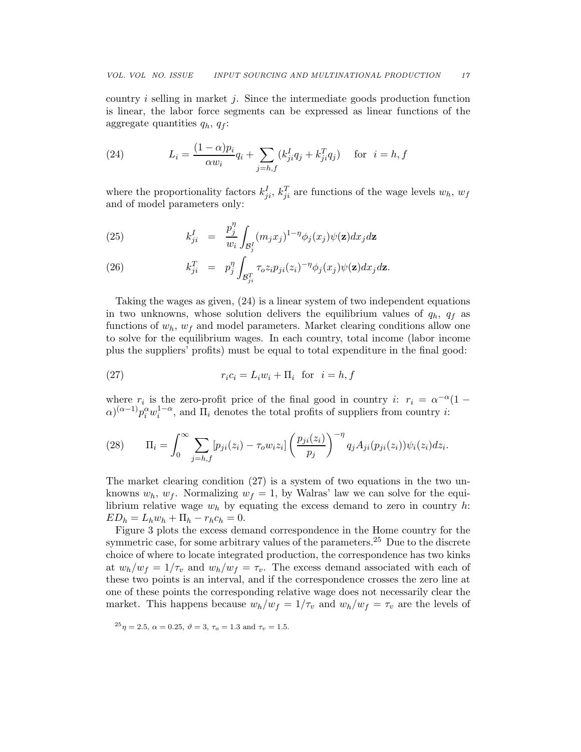country  $i$  selling in market  $j$ . Since the intermediate goods production function is linear, the labor force segments can be expressed as linear functions of the aggregate quantities  $q_h$ ,  $q_f$ :

(24) 
$$
L_{i} = \frac{(1 - \alpha)p_{i}}{\alpha w_{i}} q_{i} + \sum_{j=h,f} (k_{ji}^{I} q_{j} + k_{ji}^{T} q_{j}) \text{ for } i = h, f
$$

where the proportionality factors  $k_{ji}^I$ ,  $k_{ji}^T$  are functions of the wage levels  $w_h$ ,  $w_f$ and of model parameters only:

(25) 
$$
k_{ji}^I = \frac{p_j^{\eta}}{w_i} \int_{\mathcal{B}_j^I} (m_j x_j)^{1-\eta} \phi_j(x_j) \psi(\mathbf{z}) dx_j d\mathbf{z}
$$

(26) 
$$
k_{ji}^T = p_j^{\eta} \int_{\mathcal{B}_{ji}^T} \tau_o z_i p_{ji}(z_i)^{-\eta} \phi_j(x_j) \psi(\mathbf{z}) dx_j d\mathbf{z}.
$$

Taking the wages as given, (24) is a linear system of two independent equations in two unknowns, whose solution delivers the equilibrium values of  $q_h$ ,  $q_f$  as functions of  $w_h$ ,  $w_f$  and model parameters. Market clearing conditions allow one to solve for the equilibrium wages. In each country, total income (labor income plus the suppliers' profits) must be equal to total expenditure in the final good:

(27) 
$$
r_i c_i = L_i w_i + \Pi_i \text{ for } i = h, f
$$

where  $r_i$  is the zero-profit price of the final good in country i:  $r_i = \alpha^{-\alpha} (1 \alpha$ <sup>( $\alpha$ -1)</sub> $p_i^{\alpha}w_i^{1-\alpha}$ , and  $\Pi_i$  denotes the total profits of suppliers from country *i*:</sup>

(28) 
$$
\Pi_i = \int_0^\infty \sum_{j=h,f} [p_{ji}(z_i) - \tau_o w_i z_i] \left( \frac{p_{ji}(z_i)}{p_j} \right)^{-\eta} q_j A_{ji}(p_{ji}(z_i)) \psi_i(z_i) dz_i.
$$

The market clearing condition (27) is a system of two equations in the two unknowns  $w_h$ ,  $w_f$ . Normalizing  $w_f = 1$ , by Walras' law we can solve for the equilibrium relative wage  $w_h$  by equating the excess demand to zero in country h:  $ED_h = L_h w_h + \Pi_h - r_h c_h = 0.$ 

Figure 3 plots the excess demand correspondence in the Home country for the symmetric case, for some arbitrary values of the parameters.<sup>25</sup> Due to the discrete choice of where to locate integrated production, the correspondence has two kinks at  $w_h/w_f = 1/\tau_v$  and  $w_h/w_f = \tau_v$ . The excess demand associated with each of these two points is an interval, and if the correspondence crosses the zero line at one of these points the corresponding relative wage does not necessarily clear the market. This happens because  $w_h/w_f = 1/\tau_v$  and  $w_h/w_f = \tau_v$  are the levels of

 $^{25}\eta = 2.5, \ \alpha = 0.25, \ \vartheta = 3, \ \tau_o = 1.3 \text{ and } \tau_v = 1.5.$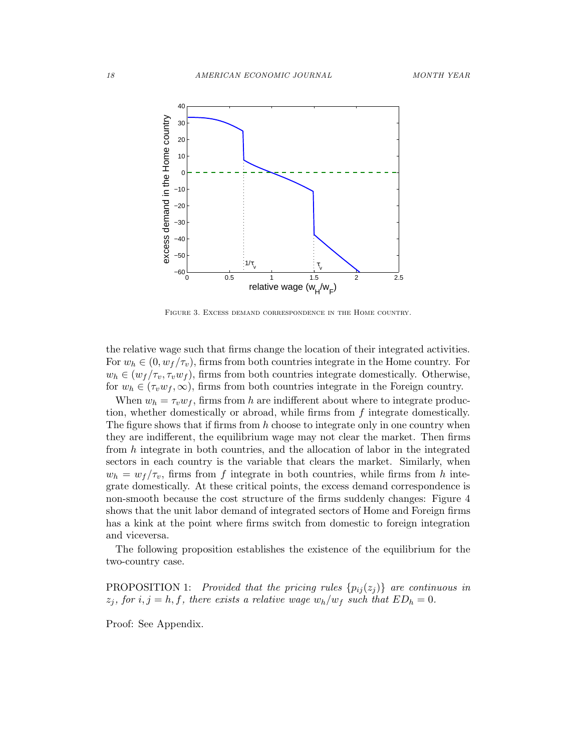

Figure 3. Excess demand correspondence in the Home country.

the relative wage such that firms change the location of their integrated activities. For  $w_h \in (0, w_f/\tau_v)$ , firms from both countries integrate in the Home country. For  $w_h \in (w_f / \tau_v, \tau_v w_f)$ , firms from both countries integrate domestically. Otherwise, for  $w_h \in (\tau_v w_f, \infty)$ , firms from both countries integrate in the Foreign country.

When  $w_h = \tau_v w_f$ , firms from h are indifferent about where to integrate production, whether domestically or abroad, while firms from f integrate domestically. The figure shows that if firms from  $h$  choose to integrate only in one country when they are indifferent, the equilibrium wage may not clear the market. Then firms from h integrate in both countries, and the allocation of labor in the integrated sectors in each country is the variable that clears the market. Similarly, when  $w_h = w_f / \tau_v$ , firms from f integrate in both countries, while firms from h integrate domestically. At these critical points, the excess demand correspondence is non-smooth because the cost structure of the firms suddenly changes: Figure 4 shows that the unit labor demand of integrated sectors of Home and Foreign firms has a kink at the point where firms switch from domestic to foreign integration and viceversa.

The following proposition establishes the existence of the equilibrium for the two-country case.

PROPOSITION 1: Provided that the pricing rules  $\{p_{ij}(z_j)\}\$ are continuous in  $z_i$ , for  $i, j = h, f$ , there exists a relative wage  $w_h/w_f$  such that  $ED_h = 0$ .

Proof: See Appendix.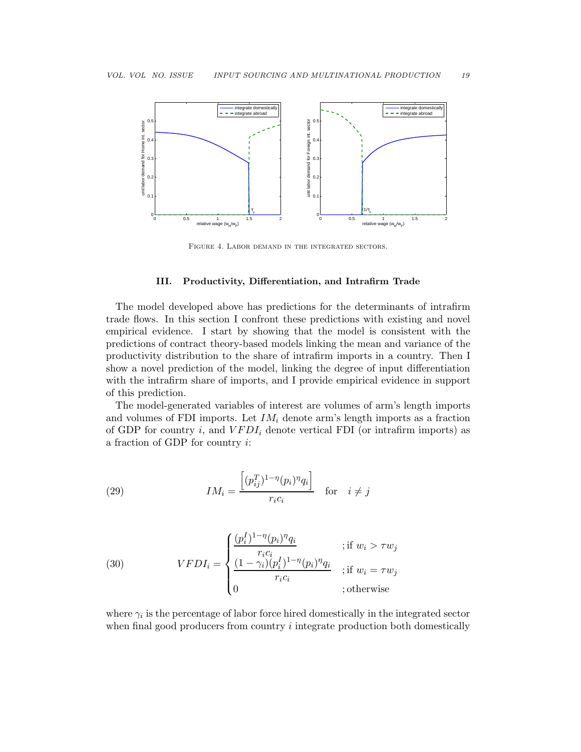

Figure 4. Labor demand in the integrated sectors.

#### III. Productivity, Differentiation, and Intrafirm Trade

The model developed above has predictions for the determinants of intrafirm trade flows. In this section I confront these predictions with existing and novel empirical evidence. I start by showing that the model is consistent with the predictions of contract theory-based models linking the mean and variance of the productivity distribution to the share of intrafirm imports in a country. Then I show a novel prediction of the model, linking the degree of input differentiation with the intrafirm share of imports, and I provide empirical evidence in support of this prediction.

The model-generated variables of interest are volumes of arm's length imports and volumes of FDI imports. Let  $IM_i$  denote arm's length imports as a fraction of GDP for country i, and  $VFDI_i$  denote vertical FDI (or intrafirm imports) as a fraction of GDP for country i:

(29) 
$$
IM_i = \frac{\left[ (p_{ij}^T)^{1-\eta}(p_i)^{\eta} q_i \right]}{r_i c_i} \quad \text{for} \quad i \neq j
$$

(30) 
$$
VFDI_i = \begin{cases} \frac{(p_i^I)^{1-\eta}(p_i)^{\eta}q_i}{r_ic_i} & \text{; if } w_i > \tau w_j\\ \frac{(1-\gamma_i)(p_i^I)^{1-\eta}(p_i)^{\eta}q_i}{r_ic_i} & \text{; if } w_i = \tau w_j\\ 0 & \text{; otherwise} \end{cases}
$$

where  $\gamma_i$  is the percentage of labor force hired domestically in the integrated sector when final good producers from country  $i$  integrate production both domestically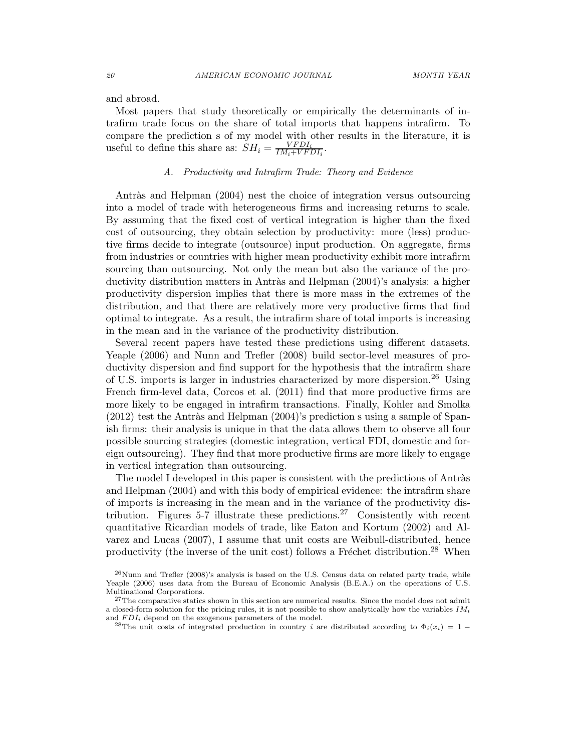and abroad.

Most papers that study theoretically or empirically the determinants of intrafirm trade focus on the share of total imports that happens intrafirm. To compare the prediction s of my model with other results in the literature, it is useful to define this share as:  $SH_i = \frac{VFDI_i}{IM_i + VFI_i}$  $\frac{VFDI_i}{IM_i+VFDI_i}$ .

## A. Productivity and Intrafirm Trade: Theory and Evidence

Antràs and Helpman  $(2004)$  nest the choice of integration versus outsourcing into a model of trade with heterogeneous firms and increasing returns to scale. By assuming that the fixed cost of vertical integration is higher than the fixed cost of outsourcing, they obtain selection by productivity: more (less) productive firms decide to integrate (outsource) input production. On aggregate, firms from industries or countries with higher mean productivity exhibit more intrafirm sourcing than outsourcing. Not only the mean but also the variance of the productivity distribution matters in Antràs and Helpman  $(2004)$ 's analysis: a higher productivity dispersion implies that there is more mass in the extremes of the distribution, and that there are relatively more very productive firms that find optimal to integrate. As a result, the intrafirm share of total imports is increasing in the mean and in the variance of the productivity distribution.

Several recent papers have tested these predictions using different datasets. Yeaple (2006) and Nunn and Trefler (2008) build sector-level measures of productivity dispersion and find support for the hypothesis that the intrafirm share of U.S. imports is larger in industries characterized by more dispersion.<sup>26</sup> Using French firm-level data, Corcos et al. (2011) find that more productive firms are more likely to be engaged in intrafirm transactions. Finally, Kohler and Smolka  $(2012)$  test the Antràs and Helpman  $(2004)$ 's prediction s using a sample of Spanish firms: their analysis is unique in that the data allows them to observe all four possible sourcing strategies (domestic integration, vertical FDI, domestic and foreign outsourcing). They find that more productive firms are more likely to engage in vertical integration than outsourcing.

The model I developed in this paper is consistent with the predictions of Antràs and Helpman (2004) and with this body of empirical evidence: the intrafirm share of imports is increasing in the mean and in the variance of the productivity distribution. Figures 5-7 illustrate these predictions.<sup>27</sup> Consistently with recent quantitative Ricardian models of trade, like Eaton and Kortum (2002) and Alvarez and Lucas (2007), I assume that unit costs are Weibull-distributed, hence productivity (the inverse of the unit cost) follows a Fréchet distribution.<sup>28</sup> When

 $^{26}$ Nunn and Trefler (2008)'s analysis is based on the U.S. Census data on related party trade, while Yeaple (2006) uses data from the Bureau of Economic Analysis (B.E.A.) on the operations of U.S. Multinational Corporations.

 $27$ The comparative statics shown in this section are numerical results. Since the model does not admit a closed-form solution for the pricing rules, it is not possible to show analytically how the variables  $IM_i$ and  $FDI_i$  depend on the exogenous parameters of the model.

<sup>&</sup>lt;sup>28</sup>The unit costs of integrated production in country i are distributed according to  $\Phi_i(x_i) = 1 -$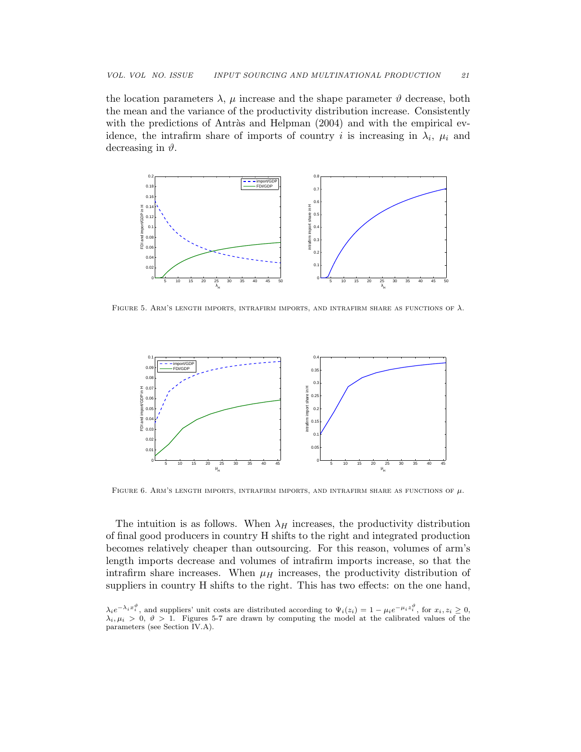the location parameters  $\lambda$ ,  $\mu$  increase and the shape parameter  $\vartheta$  decrease, both the mean and the variance of the productivity distribution increase. Consistently with the predictions of Antràs and Helpman  $(2004)$  and with the empirical evidence, the intrafirm share of imports of country i is increasing in  $\lambda_i$ ,  $\mu_i$  and decreasing in  $\vartheta$ .



FIGURE 5. ARM'S LENGTH IMPORTS, INTRAFIRM IMPORTS, AND INTRAFIRM SHARE AS FUNCTIONS OF  $\lambda$ .



FIGURE 6. ARM'S LENGTH IMPORTS, INTRAFIRM IMPORTS, AND INTRAFIRM SHARE AS FUNCTIONS OF  $\mu$ .

The intuition is as follows. When  $\lambda_H$  increases, the productivity distribution of final good producers in country H shifts to the right and integrated production becomes relatively cheaper than outsourcing. For this reason, volumes of arm's length imports decrease and volumes of intrafirm imports increase, so that the intrafirm share increases. When  $\mu$ H increases, the productivity distribution of suppliers in country H shifts to the right. This has two effects: on the one hand,

 $\lambda_i e^{-\lambda_i x_i^{\vartheta}}$ , and suppliers' unit costs are distributed according to  $\Psi_i(z_i) = 1 - \mu_i e^{-\mu_i z_i^{\vartheta}}$ , for  $x_i, z_i \geq 0$ ,  $\lambda_i, \mu_i > 0, \vartheta > 1$ . Figures 5-7 are drawn by computing the model at the calibrated values of the parameters (see Section IV.A).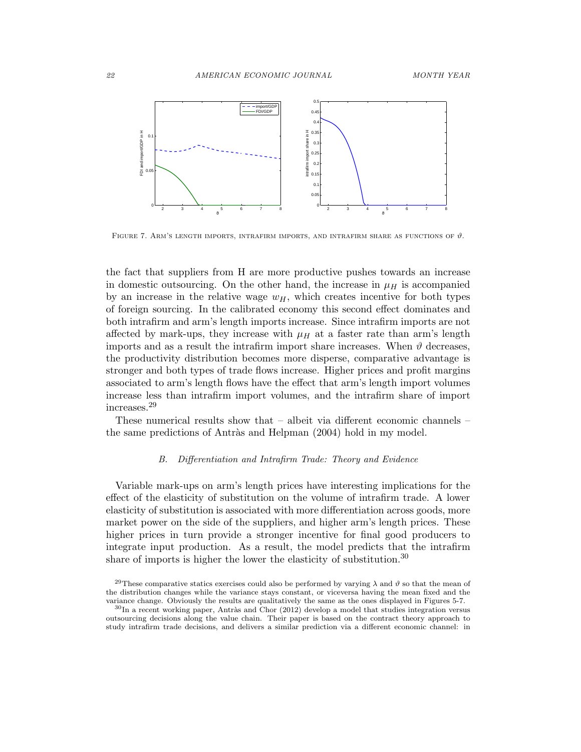

FIGURE 7. ARM'S LENGTH IMPORTS, INTRAFIRM IMPORTS, AND INTRAFIRM SHARE AS FUNCTIONS OF  $\vartheta$ .

the fact that suppliers from H are more productive pushes towards an increase in domestic outsourcing. On the other hand, the increase in  $\mu$ <sub>H</sub> is accompanied by an increase in the relative wage  $w_H$ , which creates incentive for both types of foreign sourcing. In the calibrated economy this second effect dominates and both intrafirm and arm's length imports increase. Since intrafirm imports are not affected by mark-ups, they increase with  $\mu$ <sub>H</sub> at a faster rate than arm's length imports and as a result the intrafirm import share increases. When  $\vartheta$  decreases, the productivity distribution becomes more disperse, comparative advantage is stronger and both types of trade flows increase. Higher prices and profit margins associated to arm's length flows have the effect that arm's length import volumes increase less than intrafirm import volumes, and the intrafirm share of import increases.<sup>29</sup>

These numerical results show that – albeit via different economic channels – the same predictions of Antràs and Helpman (2004) hold in my model.

#### B. Differentiation and Intrafirm Trade: Theory and Evidence

Variable mark-ups on arm's length prices have interesting implications for the effect of the elasticity of substitution on the volume of intrafirm trade. A lower elasticity of substitution is associated with more differentiation across goods, more market power on the side of the suppliers, and higher arm's length prices. These higher prices in turn provide a stronger incentive for final good producers to integrate input production. As a result, the model predicts that the intrafirm share of imports is higher the lower the elasticity of substitution.<sup>30</sup>

<sup>&</sup>lt;sup>29</sup>These comparative statics exercises could also be performed by varying  $\lambda$  and  $\vartheta$  so that the mean of the distribution changes while the variance stays constant, or viceversa having the mean fixed and the variance change. Obviously the results are qualitatively the same as the ones displayed in Figures 5-7.

 $30$ In a recent working paper, Antràs and Chor (2012) develop a model that studies integration versus outsourcing decisions along the value chain. Their paper is based on the contract theory approach to study intrafirm trade decisions, and delivers a similar prediction via a different economic channel: in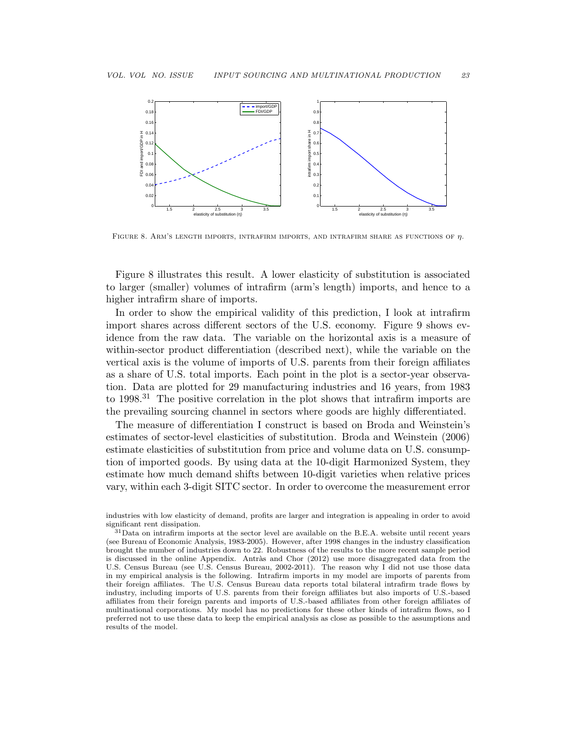

FIGURE 8. ARM'S LENGTH IMPORTS, INTRAFIRM IMPORTS, AND INTRAFIRM SHARE AS FUNCTIONS OF  $\eta$ .

Figure 8 illustrates this result. A lower elasticity of substitution is associated to larger (smaller) volumes of intrafirm (arm's length) imports, and hence to a higher intrafirm share of imports.

In order to show the empirical validity of this prediction, I look at intrafirm import shares across different sectors of the U.S. economy. Figure 9 shows evidence from the raw data. The variable on the horizontal axis is a measure of within-sector product differentiation (described next), while the variable on the vertical axis is the volume of imports of U.S. parents from their foreign affiliates as a share of U.S. total imports. Each point in the plot is a sector-year observation. Data are plotted for 29 manufacturing industries and 16 years, from 1983 to  $1998.^{31}$  The positive correlation in the plot shows that intrafirm imports are the prevailing sourcing channel in sectors where goods are highly differentiated.

The measure of differentiation I construct is based on Broda and Weinstein's estimates of sector-level elasticities of substitution. Broda and Weinstein (2006) estimate elasticities of substitution from price and volume data on U.S. consumption of imported goods. By using data at the 10-digit Harmonized System, they estimate how much demand shifts between 10-digit varieties when relative prices vary, within each 3-digit SITC sector. In order to overcome the measurement error

industries with low elasticity of demand, profits are larger and integration is appealing in order to avoid significant rent dissipation.

 $31$ Data on intrafirm imports at the sector level are available on the B.E.A. website until recent years (see Bureau of Economic Analysis, 1983-2005). However, after 1998 changes in the industry classification brought the number of industries down to 22. Robustness of the results to the more recent sample period is discussed in the online Appendix. Antràs and Chor (2012) use more disaggregated data from the U.S. Census Bureau (see U.S. Census Bureau, 2002-2011). The reason why I did not use those data in my empirical analysis is the following. Intrafirm imports in my model are imports of parents from their foreign affiliates. The U.S. Census Bureau data reports total bilateral intrafirm trade flows by industry, including imports of U.S. parents from their foreign affiliates but also imports of U.S.-based affiliates from their foreign parents and imports of U.S.-based affiliates from other foreign affiliates of multinational corporations. My model has no predictions for these other kinds of intrafirm flows, so I preferred not to use these data to keep the empirical analysis as close as possible to the assumptions and results of the model.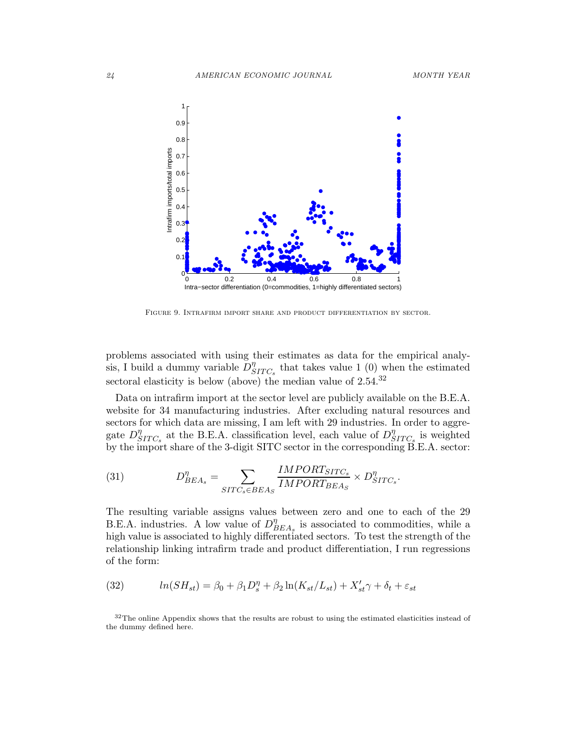

Figure 9. Intrafirm import share and product differentiation by sector.

problems associated with using their estimates as data for the empirical analysis, I build a dummy variable  $\tilde{D}_S^{\eta}$  $S_{ITC_s}^{eta}$  that takes value 1 (0) when the estimated sectoral elasticity is below (above) the median value of  $2.54<sup>32</sup>$ 

Data on intrafirm import at the sector level are publicly available on the B.E.A. website for 34 manufacturing industries. After excluding natural resources and sectors for which data are missing, I am left with 29 industries. In order to aggregate  $D_S^{\eta}$  $\eta_{SITC_s}$  at the B.E.A. classification level, each value of  $D_S^{\eta}$  $_{SITC_s}^{\eta}$  is weighted by the import share of the 3-digit SITC sector in the corresponding B.E.A. sector:

(31) 
$$
D_{BEA_s}^{\eta} = \sum_{SITC_s \in BEA_S} \frac{IMPORT_{SITC_s}}{IMPORT_{BEA_S}} \times D_{SITC_s}^{\eta}.
$$

The resulting variable assigns values between zero and one to each of the 29 B.E.A. industries. A low value of  $D_{\mu}^{\eta}$  $E_{BEA_s}^{\eta}$  is associated to commodities, while a high value is associated to highly differentiated sectors. To test the strength of the relationship linking intrafirm trade and product differentiation, I run regressions of the form:

(32) 
$$
ln(SH_{st}) = \beta_0 + \beta_1 D_s^{\eta} + \beta_2 ln(K_{st}/L_{st}) + X'_{st}\gamma + \delta_t + \varepsilon_{st}
$$

<sup>32</sup>The online Appendix shows that the results are robust to using the estimated elasticities instead of the dummy defined here.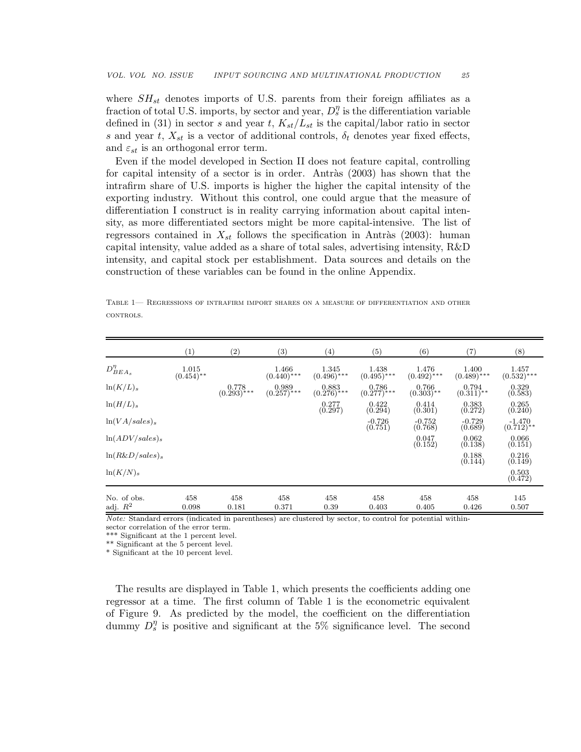where  $SH_{st}$  denotes imports of U.S. parents from their foreign affiliates as a fraction of total U.S. imports, by sector and year,  $D_s^{\eta}$  is the differentiation variable defined in (31) in sector s and year t,  $K_{st}/L_{st}$  is the capital/labor ratio in sector s and year t,  $X_{st}$  is a vector of additional controls,  $\delta_t$  denotes year fixed effects, and  $\varepsilon_{st}$  is an orthogonal error term.

Even if the model developed in Section II does not feature capital, controlling for capital intensity of a sector is in order. Antràs  $(2003)$  has shown that the intrafirm share of U.S. imports is higher the higher the capital intensity of the exporting industry. Without this control, one could argue that the measure of differentiation I construct is in reality carrying information about capital intensity, as more differentiated sectors might be more capital-intensive. The list of regressors contained in  $X_{st}$  follows the specification in Antràs (2003): human capital intensity, value added as a share of total sales, advertising intensity, R&D intensity, and capital stock per establishment. Data sources and details on the construction of these variables can be found in the online Appendix.

Table 1— Regressions of intrafirm import shares on a measure of differentiation and other CONTROLS.

|                                    | (1)                   | $\left( 2\right)$           | $^{(3)}$                  | $\left( 4\right)$         | (5)                         | $\left( 6\right)$      | (7)                     | (8)                                 |
|------------------------------------|-----------------------|-----------------------------|---------------------------|---------------------------|-----------------------------|------------------------|-------------------------|-------------------------------------|
| $D_{BEA_s}^{\eta}$                 | 1.015<br>$(0.454)$ ** |                             | 1.466<br>$(0.440)$ ***    | 1.345<br>$(0.496)$ ***    | 1.438<br>$(0.495)$ ***      | 1.476<br>$(0.492)$ *** | 1.400<br>$(0.489)$ ***  | 1.457<br>$(0.532)$ ***              |
| $\ln(K/L)_s$                       |                       | $(0.778 \atop 0.293)^{***}$ | $(0.989$<br>$(0.257)$ *** | $(0.883$<br>$(0.276)$ *** | $(0.786 \times 10.277)$ *** | 0.766<br>$(0.303)$ **  | $0.794$<br>$(0.311)$ ** | 0.329<br>(0.583)                    |
| $\ln(H/L)_s$                       |                       |                             |                           | 0.277<br>(0.297)          | 0.422<br>(0.294)            | 0.414<br>(0.301)       | 0.383<br>(0.272)        | 0.265<br>(0.240)                    |
| $ln(VA/sales)_{s}$                 |                       |                             |                           |                           | $-0.726$<br>$(0.751)$       | $-0.752$<br>(0.768)    | $-0.729$<br>(0.689)     | $-1.470$<br>$(0.712)$ <sup>**</sup> |
| $ln(ADV/sales)_{s}$                |                       |                             |                           |                           |                             | 0.047<br>(0.152)       | 0.062<br>(0.138)        | 0.066<br>(0.151)                    |
| $ln(R\&D/sales)_{s}$               |                       |                             |                           |                           |                             |                        | 0.188<br>(0.144)        | 0.216<br>(0.149)                    |
| $\ln(K/N)_s$                       |                       |                             |                           |                           |                             |                        |                         | 0.503<br>(0.472)                    |
| No. of obs.<br>adj. $\mathbb{R}^2$ | 458<br>0.098          | 458<br>0.181                | 458<br>0.371              | 458<br>0.39               | 458<br>0.403                | 458<br>0.405           | 458<br>0.426            | 145<br>0.507                        |

Note: Standard errors (indicated in parentheses) are clustered by sector, to control for potential withinsector correlation of the error term.

\*\*\* Significant at the 1 percent level.

\*\* Significant at the 5 percent level.

\* Significant at the 10 percent level.

The results are displayed in Table 1, which presents the coefficients adding one regressor at a time. The first column of Table 1 is the econometric equivalent of Figure 9. As predicted by the model, the coefficient on the differentiation dummy  $D_s^{\eta}$  is positive and significant at the 5% significance level. The second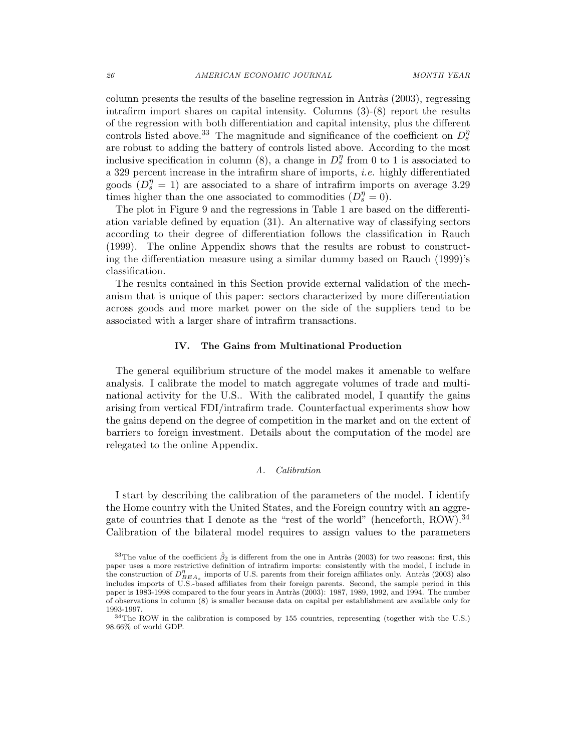column presents the results of the baseline regression in Antràs  $(2003)$ , regressing intrafirm import shares on capital intensity. Columns (3)-(8) report the results of the regression with both differentiation and capital intensity, plus the different controls listed above.<sup>33</sup> The magnitude and significance of the coefficient on  $D_s^{\eta}$ are robust to adding the battery of controls listed above. According to the most inclusive specification in column (8), a change in  $D_s^{\eta}$  from 0 to 1 is associated to a 329 percent increase in the intrafirm share of imports, i.e. highly differentiated goods  $(D_s^{\eta} = 1)$  are associated to a share of intrafirm imports on average 3.29 times higher than the one associated to commodities  $(D_s^{\eta} = 0)$ .

The plot in Figure 9 and the regressions in Table 1 are based on the differentiation variable defined by equation (31). An alternative way of classifying sectors according to their degree of differentiation follows the classification in Rauch (1999). The online Appendix shows that the results are robust to constructing the differentiation measure using a similar dummy based on Rauch (1999)'s classification.

The results contained in this Section provide external validation of the mechanism that is unique of this paper: sectors characterized by more differentiation across goods and more market power on the side of the suppliers tend to be associated with a larger share of intrafirm transactions.

## IV. The Gains from Multinational Production

The general equilibrium structure of the model makes it amenable to welfare analysis. I calibrate the model to match aggregate volumes of trade and multinational activity for the U.S.. With the calibrated model, I quantify the gains arising from vertical FDI/intrafirm trade. Counterfactual experiments show how the gains depend on the degree of competition in the market and on the extent of barriers to foreign investment. Details about the computation of the model are relegated to the online Appendix.

## A. Calibration

I start by describing the calibration of the parameters of the model. I identify the Home country with the United States, and the Foreign country with an aggregate of countries that I denote as the "rest of the world" (henceforth, ROW).<sup>34</sup> Calibration of the bilateral model requires to assign values to the parameters

<sup>&</sup>lt;sup>33</sup>The value of the coefficient  $\hat{\beta}_2$  is different from the one in Antràs (2003) for two reasons: first, this paper uses a more restrictive definition of intrafirm imports: consistently with the model, I include in the construction of  $D_{BEA_s}^{\eta}$  imports of U.S. parents from their foreign affiliates only. Antràs (2003) also includes imports of U.S.-based affiliates from their foreign parents. Second, the sample period in this paper is 1983-1998 compared to the four years in Antràs (2003): 1987, 1989, 1992, and 1994. The number of observations in column (8) is smaller because data on capital per establishment are available only for 1993-1997.

<sup>&</sup>lt;sup>34</sup>The ROW in the calibration is composed by 155 countries, representing (together with the U.S.) 98.66% of world GDP.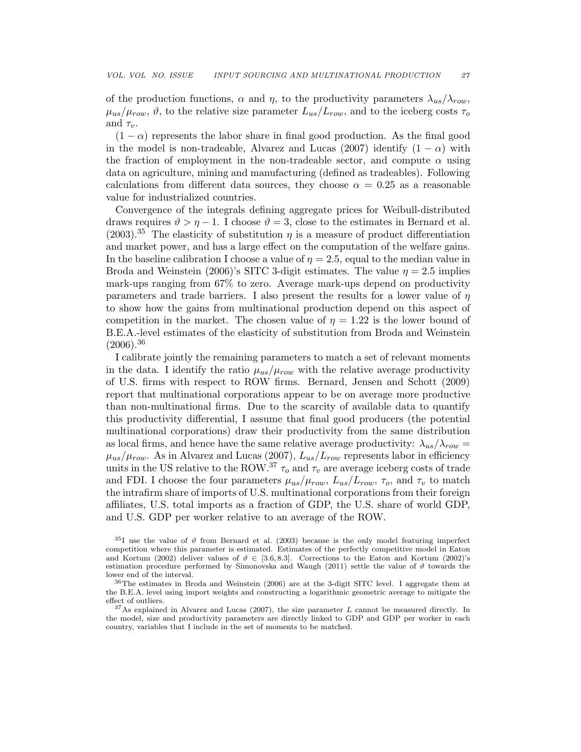of the production functions,  $\alpha$  and  $\eta$ , to the productivity parameters  $\lambda_{us}/\lambda_{row}$ ,  $\mu_{us}/\mu_{row}$ ,  $\vartheta$ , to the relative size parameter  $L_{us}/L_{row}$ , and to the iceberg costs  $\tau_o$ and  $\tau_v$ .

 $(1 - \alpha)$  represents the labor share in final good production. As the final good in the model is non-tradeable, Alvarez and Lucas (2007) identify  $(1 - \alpha)$  with the fraction of employment in the non-tradeable sector, and compute  $\alpha$  using data on agriculture, mining and manufacturing (defined as tradeables). Following calculations from different data sources, they choose  $\alpha = 0.25$  as a reasonable value for industrialized countries.

Convergence of the integrals defining aggregate prices for Weibull-distributed draws requires  $\vartheta > \eta - 1$ . I choose  $\vartheta = 3$ , close to the estimates in Bernard et al.  $(2003).^{35}$  The elasticity of substitution  $\eta$  is a measure of product differentiation and market power, and has a large effect on the computation of the welfare gains. In the baseline calibration I choose a value of  $\eta = 2.5$ , equal to the median value in Broda and Weinstein (2006)'s SITC 3-digit estimates. The value  $\eta = 2.5$  implies mark-ups ranging from 67% to zero. Average mark-ups depend on productivity parameters and trade barriers. I also present the results for a lower value of  $\eta$ to show how the gains from multinational production depend on this aspect of competition in the market. The chosen value of  $\eta = 1.22$  is the lower bound of B.E.A.-level estimates of the elasticity of substitution from Broda and Weinstein  $(2006).^{36}$ 

I calibrate jointly the remaining parameters to match a set of relevant moments in the data. I identify the ratio  $\mu_{us}/\mu_{row}$  with the relative average productivity of U.S. firms with respect to ROW firms. Bernard, Jensen and Schott (2009) report that multinational corporations appear to be on average more productive than non-multinational firms. Due to the scarcity of available data to quantify this productivity differential, I assume that final good producers (the potential multinational corporations) draw their productivity from the same distribution as local firms, and hence have the same relative average productivity:  $\lambda_{us}/\lambda_{row}$  =  $\mu_{us}/\mu_{row}$ . As in Alvarez and Lucas (2007),  $L_{us}/L_{row}$  represents labor in efficiency units in the US relative to the ROW.<sup>37</sup>  $\tau_o$  and  $\tau_v$  are average iceberg costs of trade and FDI. I choose the four parameters  $\mu_{us}/\mu_{row}$ ,  $L_{us}/L_{row}$ ,  $\tau_o$ , and  $\tau_v$  to match the intrafirm share of imports of U.S. multinational corporations from their foreign affiliates, U.S. total imports as a fraction of GDP, the U.S. share of world GDP, and U.S. GDP per worker relative to an average of the ROW.

 $35I$  use the value of  $\vartheta$  from Bernard et al. (2003) because is the only model featuring imperfect competition where this parameter is estimated. Estimates of the perfectly competitive model in Eaton and Kortum (2002) deliver values of  $\vartheta \in [3.6, 8.3]$ . Corrections to the Eaton and Kortum (2002)'s estimation procedure performed by Simonovska and Waugh (2011) settle the value of  $\vartheta$  towards the lower end of the interval.

<sup>36</sup>The estimates in Broda and Weinstein (2006) are at the 3-digit SITC level. I aggregate them at the B.E.A. level using import weights and constructing a logarithmic geometric average to mitigate the effect of outliers.

 $37$ As explained in Alvarez and Lucas (2007), the size parameter L cannot be measured directly. In the model, size and productivity parameters are directly linked to GDP and GDP per worker in each country, variables that I include in the set of moments to be matched.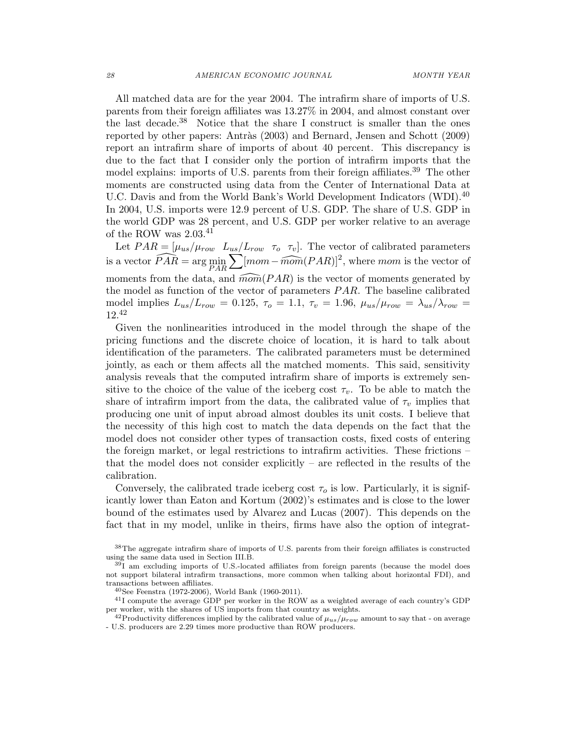All matched data are for the year 2004. The intrafirm share of imports of U.S. parents from their foreign affiliates was 13.27% in 2004, and almost constant over the last decade.<sup>38</sup> Notice that the share I construct is smaller than the ones reported by other papers: Antràs (2003) and Bernard, Jensen and Schott (2009) report an intrafirm share of imports of about 40 percent. This discrepancy is due to the fact that I consider only the portion of intrafirm imports that the model explains: imports of U.S. parents from their foreign affiliates.<sup>39</sup> The other moments are constructed using data from the Center of International Data at U.C. Davis and from the World Bank's World Development Indicators (WDI).<sup>40</sup> In 2004, U.S. imports were 12.9 percent of U.S. GDP. The share of U.S. GDP in the world GDP was 28 percent, and U.S. GDP per worker relative to an average of the ROW was 2.03.<sup>41</sup>

Let  $PAR = \left[\mu_{us}/\mu_{row} \quad L_{us}/L_{row} \quad \tau_o \quad \tau_v\right]$ . The vector of calibrated parameters is a vector  $\widehat{PAR} = \arg\min_{PAR} \sum [mom - \widehat{mom}(PAR)]^2$ , where mom is the vector of moments from the data, and  $\widehat{mom}(PAR)$  is the vector of moments generated by the model as function of the vector of parameters  $PAR$ . The baseline calibrated model implies  $L_{us}/L_{row} = 0.125$ ,  $\tau_o = 1.1$ ,  $\tau_v = 1.96$ ,  $\mu_{us}/\mu_{row} = \lambda_{us}/\lambda_{row} =$ 12.<sup>42</sup>

Given the nonlinearities introduced in the model through the shape of the pricing functions and the discrete choice of location, it is hard to talk about identification of the parameters. The calibrated parameters must be determined jointly, as each or them affects all the matched moments. This said, sensitivity analysis reveals that the computed intrafirm share of imports is extremely sensitive to the choice of the value of the iceberg cost  $\tau_v$ . To be able to match the share of intrafirm import from the data, the calibrated value of  $\tau_v$  implies that producing one unit of input abroad almost doubles its unit costs. I believe that the necessity of this high cost to match the data depends on the fact that the model does not consider other types of transaction costs, fixed costs of entering the foreign market, or legal restrictions to intrafirm activities. These frictions – that the model does not consider explicitly – are reflected in the results of the calibration.

Conversely, the calibrated trade iceberg cost  $\tau_o$  is low. Particularly, it is significantly lower than Eaton and Kortum (2002)'s estimates and is close to the lower bound of the estimates used by Alvarez and Lucas (2007). This depends on the fact that in my model, unlike in theirs, firms have also the option of integrat-

<sup>38</sup>The aggregate intrafirm share of imports of U.S. parents from their foreign affiliates is constructed using the same data used in Section III.B.

<sup>39</sup>I am excluding imports of U.S.-located affiliates from foreign parents (because the model does not support bilateral intrafirm transactions, more common when talking about horizontal FDI), and transactions between affiliates.

 $40$ See Feenstra (1972-2006), World Bank (1960-2011).

<sup>41</sup>I compute the average GDP per worker in the ROW as a weighted average of each country's GDP per worker, with the shares of US imports from that country as weights.

<sup>&</sup>lt;sup>42</sup>Productivity differences implied by the calibrated value of  $\mu_{us}/\mu_{row}$  amount to say that - on average - U.S. producers are 2.29 times more productive than ROW producers.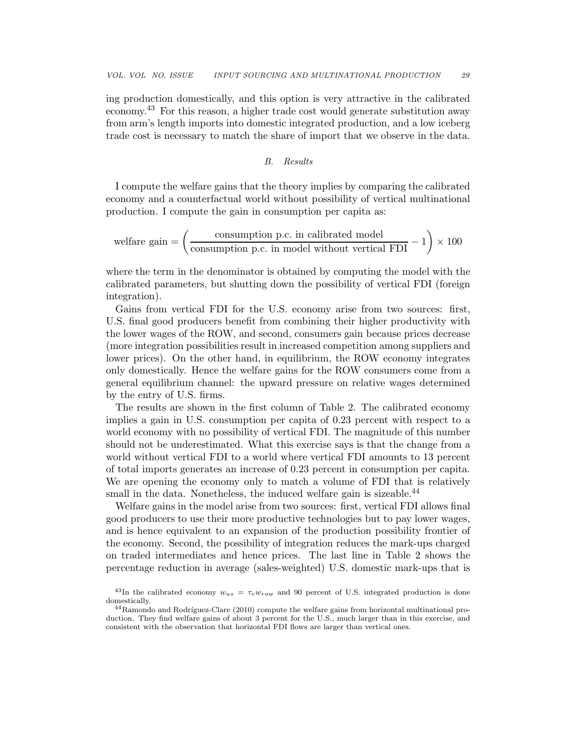ing production domestically, and this option is very attractive in the calibrated economy.<sup>43</sup> For this reason, a higher trade cost would generate substitution away from arm's length imports into domestic integrated production, and a low iceberg trade cost is necessary to match the share of import that we observe in the data.

## B. Results

I compute the welfare gains that the theory implies by comparing the calibrated economy and a counterfactual world without possibility of vertical multinational production. I compute the gain in consumption per capita as:

welfare gain = 
$$
\left(\frac{\text{consumption p.c. in calibrated model}}{\text{consumption p.c. in model without vertical FDI}} - 1\right) \times 100
$$

where the term in the denominator is obtained by computing the model with the calibrated parameters, but shutting down the possibility of vertical FDI (foreign integration).

Gains from vertical FDI for the U.S. economy arise from two sources: first, U.S. final good producers benefit from combining their higher productivity with the lower wages of the ROW, and second, consumers gain because prices decrease (more integration possibilities result in increased competition among suppliers and lower prices). On the other hand, in equilibrium, the ROW economy integrates only domestically. Hence the welfare gains for the ROW consumers come from a general equilibrium channel: the upward pressure on relative wages determined by the entry of U.S. firms.

The results are shown in the first column of Table 2. The calibrated economy implies a gain in U.S. consumption per capita of 0.23 percent with respect to a world economy with no possibility of vertical FDI. The magnitude of this number should not be underestimated. What this exercise says is that the change from a world without vertical FDI to a world where vertical FDI amounts to 13 percent of total imports generates an increase of 0.23 percent in consumption per capita. We are opening the economy only to match a volume of FDI that is relatively small in the data. Nonetheless, the induced welfare gain is sizeable.<sup>44</sup>

Welfare gains in the model arise from two sources: first, vertical FDI allows final good producers to use their more productive technologies but to pay lower wages, and is hence equivalent to an expansion of the production possibility frontier of the economy. Second, the possibility of integration reduces the mark-ups charged on traded intermediates and hence prices. The last line in Table 2 shows the percentage reduction in average (sales-weighted) U.S. domestic mark-ups that is

<sup>&</sup>lt;sup>43</sup>In the calibrated economy  $w_{us} = \tau_v w_{row}$  and 90 percent of U.S. integrated production is done domestically.

 $44$ Ramondo and Rodríguez-Clare (2010) compute the welfare gains from horizontal multinational production. They find welfare gains of about 3 percent for the U.S., much larger than in this exercise, and consistent with the observation that horizontal FDI flows are larger than vertical ones.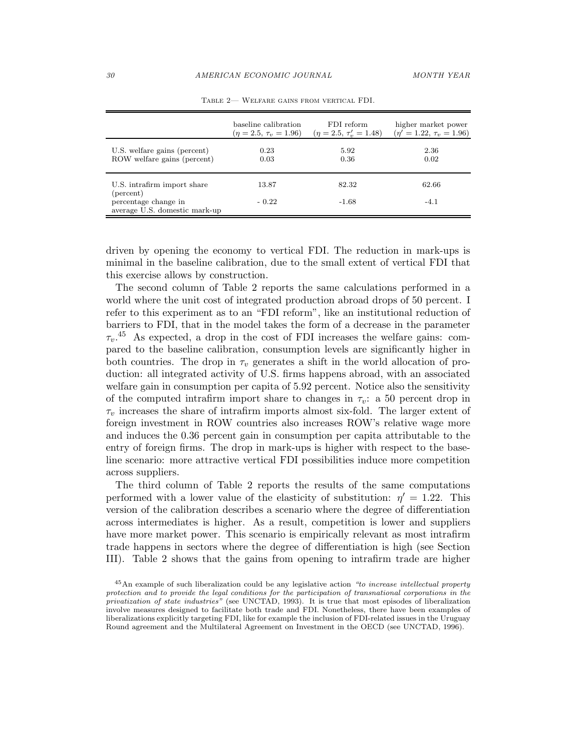|                                                       | baseline calibration          | FDI reform                          | higher market power             |
|-------------------------------------------------------|-------------------------------|-------------------------------------|---------------------------------|
|                                                       | $(\eta = 2.5, \tau_v = 1.96)$ | $(\eta = 2.5, \tau'_{\eta} = 1.48)$ | $(\eta' = 1.22, \tau_v = 1.96)$ |
| U.S. welfare gains (percent)                          | 0.23                          | 5.92                                | 2.36                            |
| ROW welfare gains (percent)                           | 0.03                          | 0.36                                | 0.02                            |
| U.S. intrafirm import share<br>(percent)              | 13.87                         | 82.32                               | 62.66                           |
| percentage change in<br>average U.S. domestic mark-up | $-0.22$                       | $-1.68$                             | $-4.1$                          |

Table 2— Welfare gains from vertical FDI.

driven by opening the economy to vertical FDI. The reduction in mark-ups is minimal in the baseline calibration, due to the small extent of vertical FDI that this exercise allows by construction.

The second column of Table 2 reports the same calculations performed in a world where the unit cost of integrated production abroad drops of 50 percent. I refer to this experiment as to an "FDI reform", like an institutional reduction of barriers to FDI, that in the model takes the form of a decrease in the parameter  $\tau_v$ <sup>45</sup> As expected, a drop in the cost of FDI increases the welfare gains: compared to the baseline calibration, consumption levels are significantly higher in both countries. The drop in  $\tau_v$  generates a shift in the world allocation of production: all integrated activity of U.S. firms happens abroad, with an associated welfare gain in consumption per capita of 5.92 percent. Notice also the sensitivity of the computed intrafirm import share to changes in  $\tau_v$ : a 50 percent drop in  $\tau_v$  increases the share of intrafirm imports almost six-fold. The larger extent of foreign investment in ROW countries also increases ROW's relative wage more and induces the 0.36 percent gain in consumption per capita attributable to the entry of foreign firms. The drop in mark-ups is higher with respect to the baseline scenario: more attractive vertical FDI possibilities induce more competition across suppliers.

The third column of Table 2 reports the results of the same computations performed with a lower value of the elasticity of substitution:  $\eta' = 1.22$ . This version of the calibration describes a scenario where the degree of differentiation across intermediates is higher. As a result, competition is lower and suppliers have more market power. This scenario is empirically relevant as most intrafirm trade happens in sectors where the degree of differentiation is high (see Section III). Table 2 shows that the gains from opening to intrafirm trade are higher

 $45$ An example of such liberalization could be any legislative action "to increase intellectual property protection and to provide the legal conditions for the participation of transnational corporations in the privatization of state industries" (see UNCTAD, 1993). It is true that most episodes of liberalization involve measures designed to facilitate both trade and FDI. Nonetheless, there have been examples of liberalizations explicitly targeting FDI, like for example the inclusion of FDI-related issues in the Uruguay Round agreement and the Multilateral Agreement on Investment in the OECD (see UNCTAD, 1996).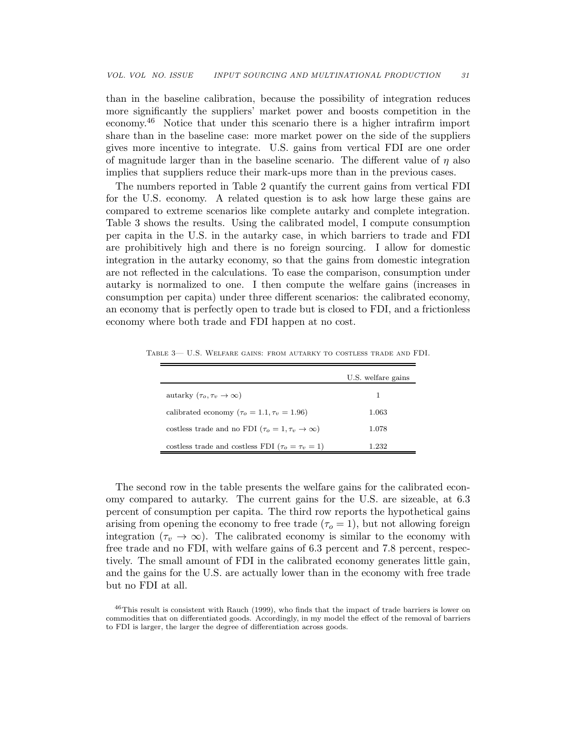than in the baseline calibration, because the possibility of integration reduces more significantly the suppliers' market power and boosts competition in the economy.<sup>46</sup> Notice that under this scenario there is a higher intrafirm import share than in the baseline case: more market power on the side of the suppliers gives more incentive to integrate. U.S. gains from vertical FDI are one order of magnitude larger than in the baseline scenario. The different value of  $\eta$  also implies that suppliers reduce their mark-ups more than in the previous cases.

The numbers reported in Table 2 quantify the current gains from vertical FDI for the U.S. economy. A related question is to ask how large these gains are compared to extreme scenarios like complete autarky and complete integration. Table 3 shows the results. Using the calibrated model, I compute consumption per capita in the U.S. in the autarky case, in which barriers to trade and FDI are prohibitively high and there is no foreign sourcing. I allow for domestic integration in the autarky economy, so that the gains from domestic integration are not reflected in the calculations. To ease the comparison, consumption under autarky is normalized to one. I then compute the welfare gains (increases in consumption per capita) under three different scenarios: the calibrated economy, an economy that is perfectly open to trade but is closed to FDI, and a frictionless economy where both trade and FDI happen at no cost.

|                                                             | U.S. welfare gains |
|-------------------------------------------------------------|--------------------|
| autarky $(\tau_o, \tau_v \to \infty)$                       |                    |
| calibrated economy ( $\tau_o = 1.1, \tau_v = 1.96$ )        | 1.063              |
| costless trade and no FDI $(\tau_o = 1, \tau_v \to \infty)$ | 1.078              |
| costless trade and costless FDI $(\tau_o = \tau_v = 1)$     | 1.232              |

Table 3— U.S. Welfare gains: from autarky to costless trade and FDI.

The second row in the table presents the welfare gains for the calibrated economy compared to autarky. The current gains for the U.S. are sizeable, at 6.3 percent of consumption per capita. The third row reports the hypothetical gains arising from opening the economy to free trade  $(\tau_o = 1)$ , but not allowing foreign integration ( $\tau_v \to \infty$ ). The calibrated economy is similar to the economy with free trade and no FDI, with welfare gains of 6.3 percent and 7.8 percent, respectively. The small amount of FDI in the calibrated economy generates little gain, and the gains for the U.S. are actually lower than in the economy with free trade but no FDI at all.

<sup>46</sup>This result is consistent with Rauch (1999), who finds that the impact of trade barriers is lower on commodities that on differentiated goods. Accordingly, in my model the effect of the removal of barriers to FDI is larger, the larger the degree of differentiation across goods.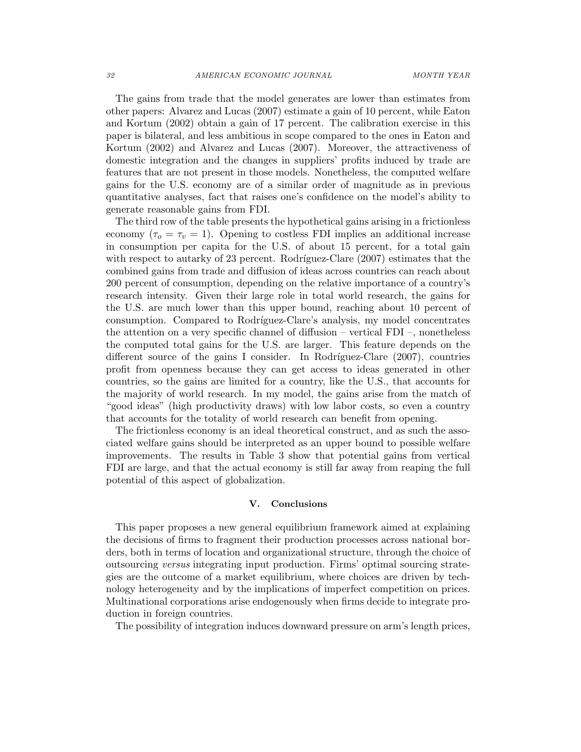The gains from trade that the model generates are lower than estimates from other papers: Alvarez and Lucas (2007) estimate a gain of 10 percent, while Eaton and Kortum (2002) obtain a gain of 17 percent. The calibration exercise in this paper is bilateral, and less ambitious in scope compared to the ones in Eaton and Kortum (2002) and Alvarez and Lucas (2007). Moreover, the attractiveness of domestic integration and the changes in suppliers' profits induced by trade are features that are not present in those models. Nonetheless, the computed welfare gains for the U.S. economy are of a similar order of magnitude as in previous quantitative analyses, fact that raises one's confidence on the model's ability to generate reasonable gains from FDI.

The third row of the table presents the hypothetical gains arising in a frictionless economy  $(\tau_o = \tau_v = 1)$ . Opening to costless FDI implies an additional increase in consumption per capita for the U.S. of about 15 percent, for a total gain with respect to autarky of 23 percent. Rodríguez-Clare  $(2007)$  estimates that the combined gains from trade and diffusion of ideas across countries can reach about 200 percent of consumption, depending on the relative importance of a country's research intensity. Given their large role in total world research, the gains for the U.S. are much lower than this upper bound, reaching about 10 percent of consumption. Compared to Rodríguez-Clare's analysis, my model concentrates the attention on a very specific channel of diffusion – vertical FDI –, nonetheless the computed total gains for the U.S. are larger. This feature depends on the different source of the gains I consider. In Rodríguez-Clare  $(2007)$ , countries profit from openness because they can get access to ideas generated in other countries, so the gains are limited for a country, like the U.S., that accounts for the majority of world research. In my model, the gains arise from the match of "good ideas" (high productivity draws) with low labor costs, so even a country that accounts for the totality of world research can benefit from opening.

The frictionless economy is an ideal theoretical construct, and as such the associated welfare gains should be interpreted as an upper bound to possible welfare improvements. The results in Table 3 show that potential gains from vertical FDI are large, and that the actual economy is still far away from reaping the full potential of this aspect of globalization.

## V. Conclusions

This paper proposes a new general equilibrium framework aimed at explaining the decisions of firms to fragment their production processes across national borders, both in terms of location and organizational structure, through the choice of outsourcing versus integrating input production. Firms' optimal sourcing strategies are the outcome of a market equilibrium, where choices are driven by technology heterogeneity and by the implications of imperfect competition on prices. Multinational corporations arise endogenously when firms decide to integrate production in foreign countries.

The possibility of integration induces downward pressure on arm's length prices,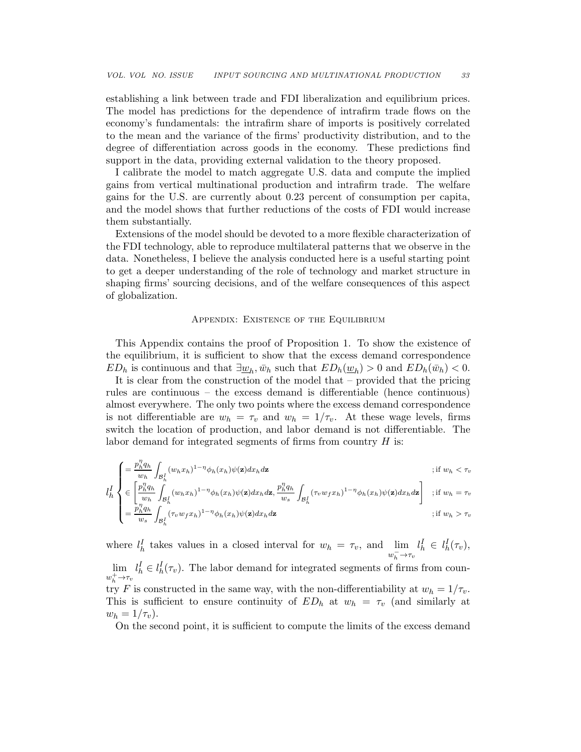establishing a link between trade and FDI liberalization and equilibrium prices. The model has predictions for the dependence of intrafirm trade flows on the economy's fundamentals: the intrafirm share of imports is positively correlated to the mean and the variance of the firms' productivity distribution, and to the degree of differentiation across goods in the economy. These predictions find support in the data, providing external validation to the theory proposed.

I calibrate the model to match aggregate U.S. data and compute the implied gains from vertical multinational production and intrafirm trade. The welfare gains for the U.S. are currently about 0.23 percent of consumption per capita, and the model shows that further reductions of the costs of FDI would increase them substantially.

Extensions of the model should be devoted to a more flexible characterization of the FDI technology, able to reproduce multilateral patterns that we observe in the data. Nonetheless, I believe the analysis conducted here is a useful starting point to get a deeper understanding of the role of technology and market structure in shaping firms' sourcing decisions, and of the welfare consequences of this aspect of globalization.

## Appendix: Existence of the Equilibrium

This Appendix contains the proof of Proposition 1. To show the existence of the equilibrium, it is sufficient to show that the excess demand correspondence  $ED_h$  is continuous and that  $\exists \underline{w}_h, \overline{w}_h$  such that  $ED_h(\underline{w}_h) > 0$  and  $ED_h(\overline{w}_h) < 0$ .

It is clear from the construction of the model that – provided that the pricing rules are continuous – the excess demand is differentiable (hence continuous) almost everywhere. The only two points where the excess demand correspondence is not differentiable are  $w_h = \tau_v$  and  $w_h = 1/\tau_v$ . At these wage levels, firms switch the location of production, and labor demand is not differentiable. The labor demand for integrated segments of firms from country  $H$  is:

$$
l^I_h \left\{\begin{aligned} &= \frac{p^{\eta}_h q_h}{w_h} \int_{\mathcal{B}^I_h} (w_h x_h)^{1-\eta} \phi_h(x_h) \psi(\mathbf{z}) dx_h d\mathbf{z} &\text{; if } w_h < \tau_v \\ &= \begin{bmatrix} \frac{p^{\eta}_h q_h}{w_h} \int_{\mathcal{B}^I_h} (w_h x_h)^{1-\eta} \phi_h(x_h) \psi(\mathbf{z}) dx_h d\mathbf{z}, \frac{p^{\eta}_h q_h}{w_s} \int_{\mathcal{B}^I_h} (\tau_v w_f x_h)^{1-\eta} \phi_h(x_h) \psi(\mathbf{z}) dx_h d\mathbf{z} \end{bmatrix} &\text{; if } w_h = \tau_v \\ &= \frac{p^{\eta}_h q_h}{w_s} \int_{\mathcal{B}^I_h} (\tau_v w_f x_h)^{1-\eta} \phi_h(x_h) \psi(\mathbf{z}) dx_h d\mathbf{z} &\text{; if } w_h > \tau_v \end{aligned} \right.
$$

where  $l_h^I$  takes values in a closed interval for  $w_h = \tau_v$ , and  $\lim_{w_h^- \to \tau_v^-}$  $l_h^I \in l_h^I(\tau_v),$  $\lim_{\pm} l_h^I \in l_h^I(\tau_v)$ . The labor demand for integrated segments of firms from coun $w_h^+$  $\rightarrow$  $\tau_v$ 

try F is constructed in the same way, with the non-differentiability at  $w_h = 1/\tau_v$ . This is sufficient to ensure continuity of  $ED<sub>h</sub>$  at  $w<sub>h</sub> = \tau<sub>v</sub>$  (and similarly at  $w_h = 1/\tau_v$ ).

On the second point, it is sufficient to compute the limits of the excess demand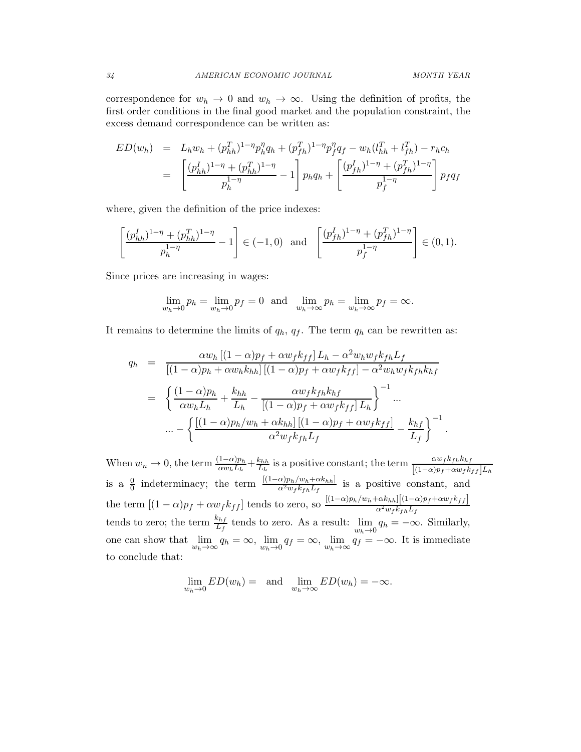correspondence for  $w_h \to 0$  and  $w_h \to \infty$ . Using the definition of profits, the first order conditions in the final good market and the population constraint, the excess demand correspondence can be written as:

$$
ED(w_h) = L_h w_h + (p_{hh}^T)^{1-\eta} p_h^{\eta} q_h + (p_{fh}^T)^{1-\eta} p_f^{\eta} q_f - w_h (l_{hh}^T + l_{fh}^T) - r_h c_h
$$
  

$$
= \left[ \frac{(p_{hh}^I)^{1-\eta} + (p_{hh}^T)^{1-\eta}}{p_h^{1-\eta}} - 1 \right] p_h q_h + \left[ \frac{(p_{fh}^I)^{1-\eta} + (p_{fh}^T)^{1-\eta}}{p_f^{1-\eta}} \right] p_f q_f
$$

where, given the definition of the price indexes:

$$
\left[\frac{(p_{hh}^I)^{1-\eta} + (p_{hh}^T)^{1-\eta}}{p_h^{1-\eta}} - 1\right] \in (-1,0) \text{ and } \left[\frac{(p_{fh}^I)^{1-\eta} + (p_{fh}^T)^{1-\eta}}{p_f^{1-\eta}}\right] \in (0,1).
$$

Since prices are increasing in wages:

$$
\lim_{w_h \to 0} p_h = \lim_{w_h \to 0} p_f = 0 \text{ and } \lim_{w_h \to \infty} p_h = \lim_{w_h \to \infty} p_f = \infty.
$$

It remains to determine the limits of  $q_h$ ,  $q_f$ . The term  $q_h$  can be rewritten as:

$$
q_h = \frac{\alpha w_h \left[ (1 - \alpha)p_f + \alpha w_f k_{ff} \right] L_h - \alpha^2 w_h w_f k_{fh} L_f}{\left[ (1 - \alpha)p_h + \alpha w_h k_{hh} \right] \left[ (1 - \alpha)p_f + \alpha w_f k_{ff} \right] - \alpha^2 w_h w_f k_{fh} k_{hf}} \\
= \left\{ \frac{(1 - \alpha)p_h}{\alpha w_h L_h} + \frac{k_{hh}}{L_h} - \frac{\alpha w_f k_{fh} k_{hf}}{\left[ (1 - \alpha)p_f + \alpha w_f k_{ff} \right] L_h} \right\}^{-1} \dots \\
\dots - \left\{ \frac{\left[ (1 - \alpha)p_h / w_h + \alpha k_{hh} \right] \left[ (1 - \alpha)p_f + \alpha w_f k_{ff} \right]}{\alpha^2 w_f k_{fh} L_f} - \frac{k_{hf}}{L_f} \right\}^{-1}.
$$

When  $w_n \to 0$ , the term  $\frac{(1-\alpha)p_h}{\alpha w_h L_h} + \frac{k_{hh}}{L_h}$  $\frac{\alpha w_f k_{fh} k_{hf}}{L_h}$  is a positive constant; the term  $\frac{\alpha w_f k_{fh} k_{hf}}{[(1-\alpha)p_f + \alpha w_f k_{ff}]} L_h$ is a  $\frac{0}{0}$  indeterminacy; the term  $\frac{[(1-\alpha)p_h/w_h+\alpha k_{hh}]}{\alpha^2 w_f k_{fh}L_f}$  is a positive constant, and the term  $[(1 - \alpha)p_f + \alpha w_f k_{ff}]$  tends to zero, so  $\frac{[(1 - \alpha)p_h/w_h + \alpha k_{hh}][(1 - \alpha)p_f + \alpha w_f k_{ff}]}{\alpha^2 w_f k_{fh} L_f}$ tends to zero; the term  $\frac{k_{hf}}{L_f}$  tends to zero. As a result:  $\lim_{w_h \to 0} q_h = -\infty$ . Similarly, one can show that  $\lim_{w_h \to \infty} q_h = \infty$ ,  $\lim_{w_h \to 0} q_f = \infty$ ,  $\lim_{w_h \to \infty} q_f = -\infty$ . It is immediate to conclude that:

$$
\lim_{w_h \to 0} ED(w_h) = \text{ and } \lim_{w_h \to \infty} ED(w_h) = -\infty.
$$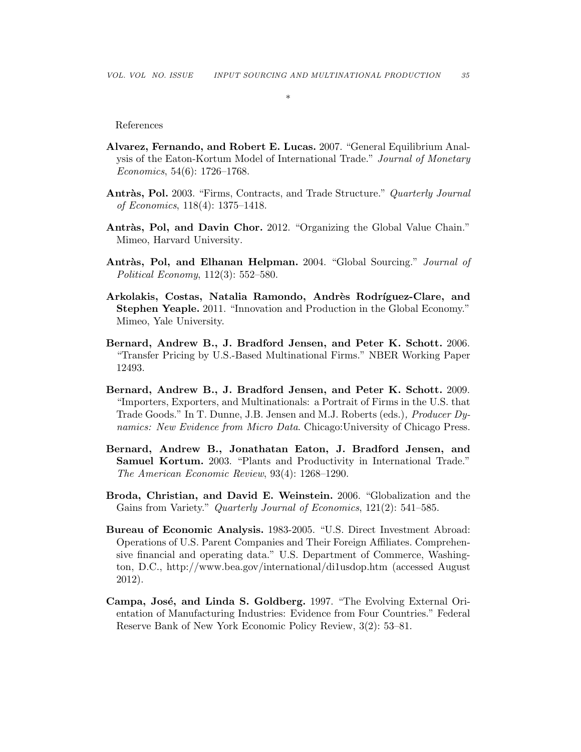\*

References

- Alvarez, Fernando, and Robert E. Lucas. 2007. "General Equilibrium Analysis of the Eaton-Kortum Model of International Trade." Journal of Monetary Economics, 54(6): 1726–1768.
- Antràs, Pol. 2003. "Firms, Contracts, and Trade Structure." Quarterly Journal of Economics, 118(4): 1375–1418.
- Antràs, Pol, and Davin Chor. 2012. "Organizing the Global Value Chain." Mimeo, Harvard University.
- Antràs, Pol, and Elhanan Helpman. 2004. "Global Sourcing." Journal of Political Economy, 112(3): 552–580.
- Arkolakis, Costas, Natalia Ramondo, Andrès Rodríguez-Clare, and Stephen Yeaple. 2011. "Innovation and Production in the Global Economy." Mimeo, Yale University.
- Bernard, Andrew B., J. Bradford Jensen, and Peter K. Schott. 2006. "Transfer Pricing by U.S.-Based Multinational Firms." NBER Working Paper 12493.
- Bernard, Andrew B., J. Bradford Jensen, and Peter K. Schott. 2009. "Importers, Exporters, and Multinationals: a Portrait of Firms in the U.S. that Trade Goods." In T. Dunne, J.B. Jensen and M.J. Roberts (eds.), Producer Dynamics: New Evidence from Micro Data. Chicago:University of Chicago Press.
- Bernard, Andrew B., Jonathatan Eaton, J. Bradford Jensen, and Samuel Kortum. 2003. "Plants and Productivity in International Trade." The American Economic Review, 93(4): 1268–1290.
- Broda, Christian, and David E. Weinstein. 2006. "Globalization and the Gains from Variety." *Quarterly Journal of Economics*, 121(2): 541–585.
- Bureau of Economic Analysis. 1983-2005. "U.S. Direct Investment Abroad: Operations of U.S. Parent Companies and Their Foreign Affiliates. Comprehensive financial and operating data." U.S. Department of Commerce, Washington, D.C., http://www.bea.gov/international/di1usdop.htm (accessed August 2012).
- Campa, José, and Linda S. Goldberg. 1997. "The Evolving External Orientation of Manufacturing Industries: Evidence from Four Countries." Federal Reserve Bank of New York Economic Policy Review, 3(2): 53–81.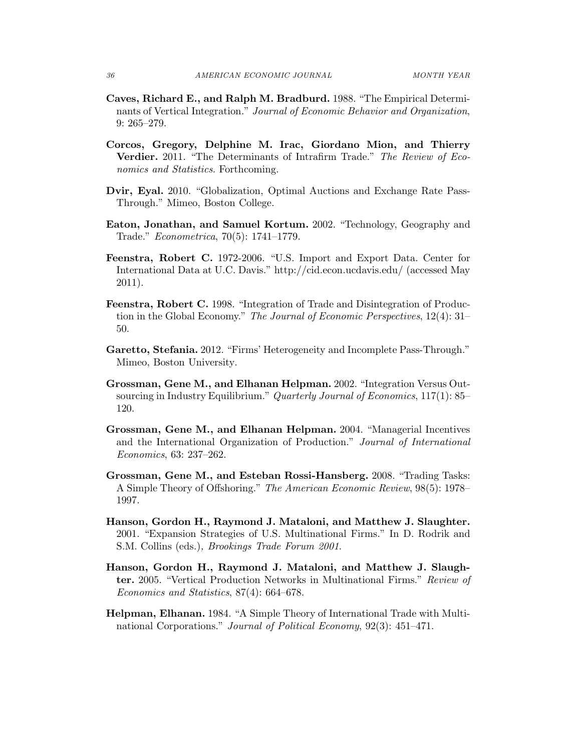- Caves, Richard E., and Ralph M. Bradburd. 1988. "The Empirical Determinants of Vertical Integration." Journal of Economic Behavior and Organization, 9: 265–279.
- Corcos, Gregory, Delphine M. Irac, Giordano Mion, and Thierry Verdier. 2011. "The Determinants of Intrafirm Trade." The Review of Economics and Statistics. Forthcoming.
- Dvir, Eyal. 2010. "Globalization, Optimal Auctions and Exchange Rate Pass-Through." Mimeo, Boston College.
- Eaton, Jonathan, and Samuel Kortum. 2002. "Technology, Geography and Trade." Econometrica, 70(5): 1741–1779.
- Feenstra, Robert C. 1972-2006. "U.S. Import and Export Data. Center for International Data at U.C. Davis." http://cid.econ.ucdavis.edu/ (accessed May 2011).
- Feenstra, Robert C. 1998. "Integration of Trade and Disintegration of Production in the Global Economy." The Journal of Economic Perspectives, 12(4): 31– 50.
- Garetto, Stefania. 2012. "Firms' Heterogeneity and Incomplete Pass-Through." Mimeo, Boston University.
- Grossman, Gene M., and Elhanan Helpman. 2002. "Integration Versus Outsourcing in Industry Equilibrium." Quarterly Journal of Economics, 117(1): 85– 120.
- Grossman, Gene M., and Elhanan Helpman. 2004. "Managerial Incentives and the International Organization of Production." Journal of International Economics, 63: 237–262.
- Grossman, Gene M., and Esteban Rossi-Hansberg. 2008. "Trading Tasks: A Simple Theory of Offshoring." The American Economic Review, 98(5): 1978– 1997.
- Hanson, Gordon H., Raymond J. Mataloni, and Matthew J. Slaughter. 2001. "Expansion Strategies of U.S. Multinational Firms." In D. Rodrik and S.M. Collins (eds.), Brookings Trade Forum 2001.
- Hanson, Gordon H., Raymond J. Mataloni, and Matthew J. Slaughter. 2005. "Vertical Production Networks in Multinational Firms." Review of Economics and Statistics, 87(4): 664–678.
- Helpman, Elhanan. 1984. "A Simple Theory of International Trade with Multinational Corporations." Journal of Political Economy, 92(3): 451–471.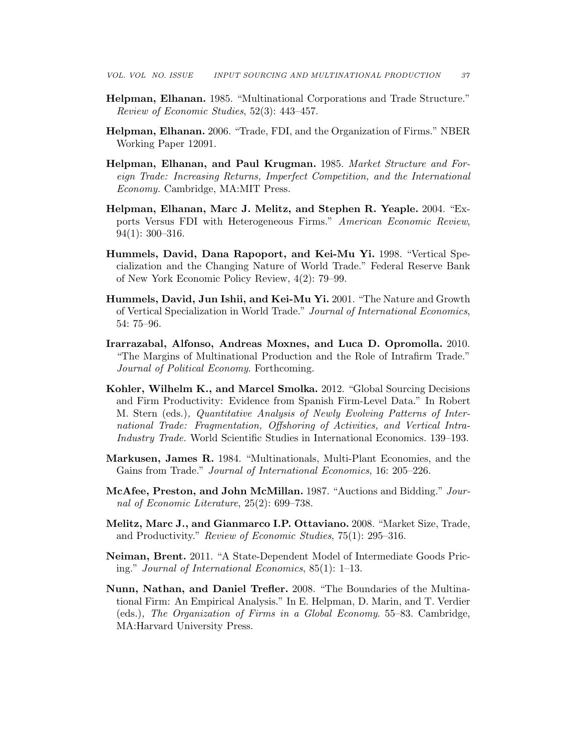- Helpman, Elhanan. 1985. "Multinational Corporations and Trade Structure." Review of Economic Studies, 52(3): 443–457.
- Helpman, Elhanan. 2006. "Trade, FDI, and the Organization of Firms." NBER Working Paper 12091.
- Helpman, Elhanan, and Paul Krugman. 1985. Market Structure and Foreign Trade: Increasing Returns, Imperfect Competition, and the International Economy. Cambridge, MA:MIT Press.
- Helpman, Elhanan, Marc J. Melitz, and Stephen R. Yeaple. 2004. "Exports Versus FDI with Heterogeneous Firms." American Economic Review, 94(1): 300–316.
- Hummels, David, Dana Rapoport, and Kei-Mu Yi. 1998. "Vertical Specialization and the Changing Nature of World Trade." Federal Reserve Bank of New York Economic Policy Review, 4(2): 79–99.
- Hummels, David, Jun Ishii, and Kei-Mu Yi. 2001. "The Nature and Growth of Vertical Specialization in World Trade." Journal of International Economics, 54: 75–96.
- Irarrazabal, Alfonso, Andreas Moxnes, and Luca D. Opromolla. 2010. "The Margins of Multinational Production and the Role of Intrafirm Trade." Journal of Political Economy. Forthcoming.
- Kohler, Wilhelm K., and Marcel Smolka. 2012. "Global Sourcing Decisions and Firm Productivity: Evidence from Spanish Firm-Level Data." In Robert M. Stern (eds.), Quantitative Analysis of Newly Evolving Patterns of International Trade: Fragmentation, Offshoring of Activities, and Vertical Intra-Industry Trade. World Scientific Studies in International Economics. 139–193.
- Markusen, James R. 1984. "Multinationals, Multi-Plant Economies, and the Gains from Trade." Journal of International Economics, 16: 205–226.
- McAfee, Preston, and John McMillan. 1987. "Auctions and Bidding." Journal of Economic Literature, 25(2): 699–738.
- Melitz, Marc J., and Gianmarco I.P. Ottaviano. 2008. "Market Size, Trade, and Productivity." Review of Economic Studies, 75(1): 295–316.
- Neiman, Brent. 2011. "A State-Dependent Model of Intermediate Goods Pricing." Journal of International Economics, 85(1): 1–13.
- Nunn, Nathan, and Daniel Trefler. 2008. "The Boundaries of the Multinational Firm: An Empirical Analysis." In E. Helpman, D. Marin, and T. Verdier (eds.), The Organization of Firms in a Global Economy. 55–83. Cambridge, MA:Harvard University Press.